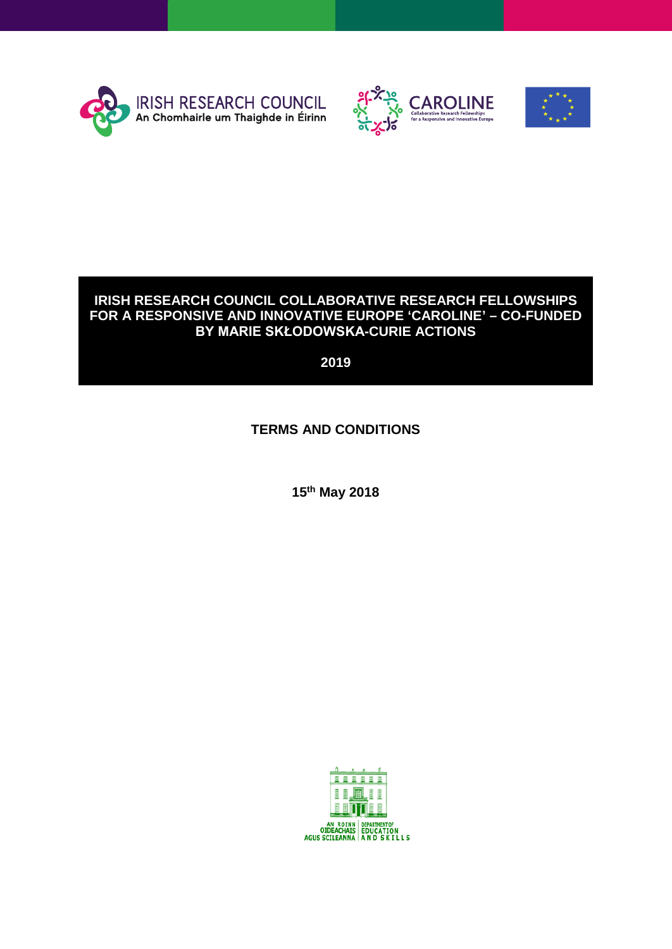





#### **IRISH RESEARCH COUNCIL COLLABORATIVE RESEARCH FELLOWSHIPS FOR A RESPONSIVE AND INNOVATIVE EUROPE 'CAROLINE' – CO-FUNDED BY MARIE SKŁODOWSKA-CURIE ACTIONS**

**2019**

## **TERMS AND CONDITIONS**

**15th May 2018**

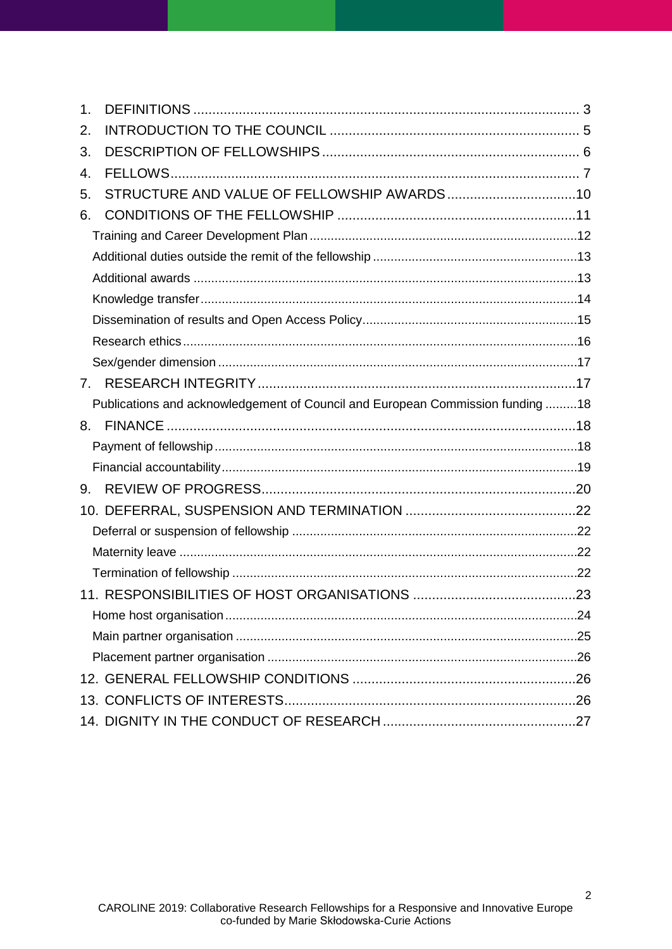| $\mathbf 1$ .                  |                                                                                |  |
|--------------------------------|--------------------------------------------------------------------------------|--|
| 2.                             |                                                                                |  |
| 3.                             |                                                                                |  |
| 4.                             |                                                                                |  |
| 5.                             |                                                                                |  |
| 6.                             |                                                                                |  |
|                                |                                                                                |  |
|                                |                                                                                |  |
|                                |                                                                                |  |
|                                |                                                                                |  |
|                                |                                                                                |  |
|                                |                                                                                |  |
|                                |                                                                                |  |
| $7_{\scriptscriptstyle{\sim}}$ |                                                                                |  |
|                                |                                                                                |  |
|                                | Publications and acknowledgement of Council and European Commission funding 18 |  |
| 8.                             |                                                                                |  |
|                                |                                                                                |  |
|                                |                                                                                |  |
| 9.                             |                                                                                |  |
|                                |                                                                                |  |
|                                |                                                                                |  |
|                                |                                                                                |  |
|                                |                                                                                |  |
|                                |                                                                                |  |
|                                |                                                                                |  |
|                                |                                                                                |  |
|                                |                                                                                |  |
|                                |                                                                                |  |
|                                |                                                                                |  |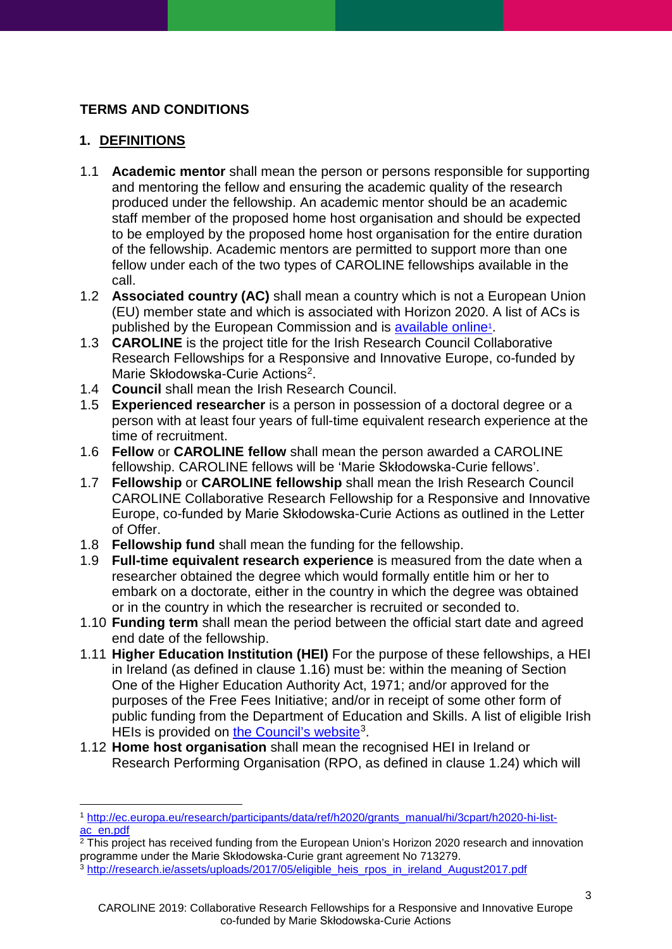# **TERMS AND CONDITIONS**

# <span id="page-2-0"></span>**1. DEFINITIONS**

- 1.1 **Academic mentor** shall mean the person or persons responsible for supporting and mentoring the fellow and ensuring the academic quality of the research produced under the fellowship. An academic mentor should be an academic staff member of the proposed home host organisation and should be expected to be employed by the proposed home host organisation for the entire duration of the fellowship. Academic mentors are permitted to support more than one fellow under each of the two types of CAROLINE fellowships available in the call.
- 1.2 **Associated country (AC)** shall mean a country which is not a European Union (EU) member state and which is associated with Horizon 2020. A list of ACs is published by the European Commission and is [available online1](http://ec.europa.eu/research/participants/data/ref/h2020/grants_manual/hi/3cpart/h2020-hi-list-ac_en.pdf).
- 1.3 **CAROLINE** is the project title for the Irish Research Council Collaborative Research Fellowships for a Responsive and Innovative Europe, co-funded by Marie Skłodowska-Curie Actions<sup>2</sup>.
- 1.4 **Council** shall mean the Irish Research Council.
- 1.5 **Experienced researcher** is a person in possession of a doctoral degree or a person with at least four years of full-time equivalent research experience at the time of recruitment.
- 1.6 **Fellow** or **CAROLINE fellow** shall mean the person awarded a CAROLINE fellowship. CAROLINE fellows will be 'Marie Skłodowska-Curie fellows'.
- 1.7 **Fellowship** or **CAROLINE fellowship** shall mean the Irish Research Council CAROLINE Collaborative Research Fellowship for a Responsive and Innovative Europe, co-funded by Marie Skłodowska-Curie Actions as outlined in the Letter of Offer.
- 1.8 **Fellowship fund** shall mean the funding for the fellowship.
- 1.9 **Full-time equivalent research experience** is measured from the date when a researcher obtained the degree which would formally entitle him or her to embark on a doctorate, either in the country in which the degree was obtained or in the country in which the researcher is recruited or seconded to.
- 1.10 **Funding term** shall mean the period between the official start date and agreed end date of the fellowship.
- <span id="page-2-3"></span>1.11 **Higher Education Institution (HEI)** For the purpose of these fellowships, a HEI in Ireland (as defined in clause [1.16\)](#page-3-0) must be: within the meaning of Section One of the Higher Education Authority Act, 1971; and/or approved for the purposes of the Free Fees Initiative; and/or in receipt of some other form of public funding from the Department of Education and Skills. A list of eligible Irish HEIs is provided on [the Council's website](http://research.ie/assets/uploads/2017/05/eligible_heis_rpos_in_ireland_August2017.pdf)<sup>[3](#page-2-2)</sup>.
- 1.12 **Home host organisation** shall mean the recognised HEI in Ireland or Research Performing Organisation (RPO, as defined in clause [1.24\)](#page-4-1) which will

<span id="page-2-1"></span><sup>-</sup><sup>1</sup> [http://ec.europa.eu/research/participants/data/ref/h2020/grants\\_manual/hi/3cpart/h2020-hi-list](http://ec.europa.eu/research/participants/data/ref/h2020/grants_manual/hi/3cpart/h2020-hi-list-ac_en.pdf)[ac\\_en.pdf](http://ec.europa.eu/research/participants/data/ref/h2020/grants_manual/hi/3cpart/h2020-hi-list-ac_en.pdf)

<sup>&</sup>lt;sup>2</sup> This project has received funding from the European Union's Horizon 2020 research and innovation programme under the Marie Skłodowska-Curie grant agreement No 713279.

<span id="page-2-2"></span><sup>3</sup> [http://research.ie/assets/uploads/2017/05/eligible\\_heis\\_rpos\\_in\\_ireland\\_August2017.pdf](http://research.ie/assets/uploads/2017/05/eligible_heis_rpos_in_ireland_August2017.pdf)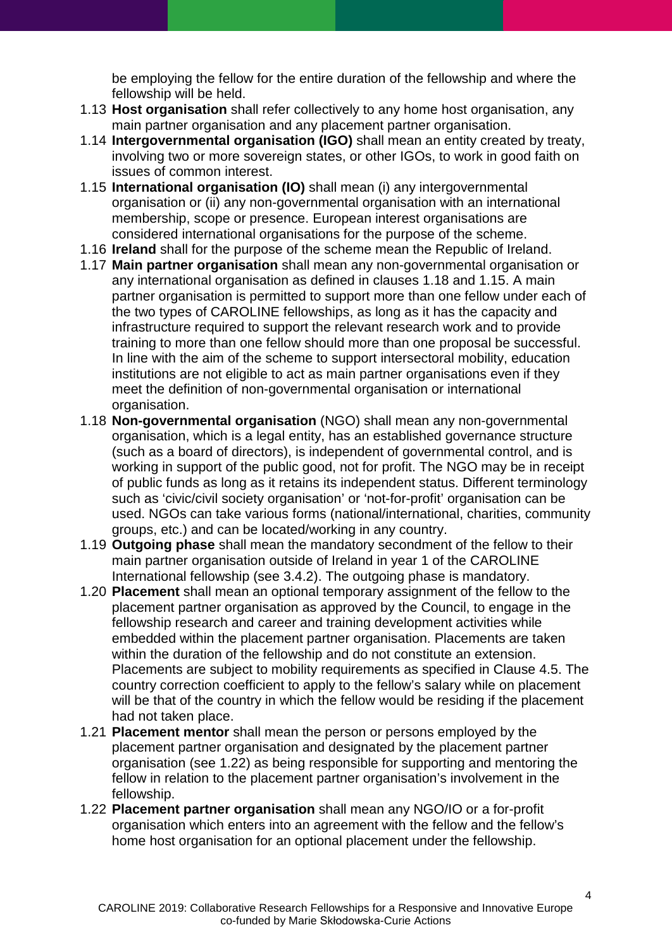be employing the fellow for the entire duration of the fellowship and where the fellowship will be held.

- 1.13 **Host organisation** shall refer collectively to any home host organisation, any main partner organisation and any placement partner organisation.
- 1.14 **Intergovernmental organisation (IGO)** shall mean an entity created by treaty, involving two or more sovereign states, or other IGOs, to work in good faith on issues of common interest.
- <span id="page-3-2"></span>1.15 **International organisation (IO)** shall mean (i) any intergovernmental organisation or (ii) any non-governmental organisation with an international membership, scope or presence. European interest organisations are considered international organisations for the purpose of the scheme.
- <span id="page-3-0"></span>1.16 **Ireland** shall for the purpose of the scheme mean the Republic of Ireland.
- 1.17 **Main partner organisation** shall mean any non-governmental organisation or any international organisation as defined in clauses [1.18](#page-3-1) and [1.15.](#page-3-2) A main partner organisation is permitted to support more than one fellow under each of the two types of CAROLINE fellowships, as long as it has the capacity and infrastructure required to support the relevant research work and to provide training to more than one fellow should more than one proposal be successful. In line with the aim of the scheme to support intersectoral mobility, education institutions are not eligible to act as main partner organisations even if they meet the definition of non-governmental organisation or international organisation.
- <span id="page-3-1"></span>1.18 **Non-governmental organisation** (NGO) shall mean any non-governmental organisation, which is a legal entity, has an established governance structure (such as a board of directors), is independent of governmental control, and is working in support of the public good, not for profit. The NGO may be in receipt of public funds as long as it retains its independent status. Different terminology such as 'civic/civil society organisation' or 'not-for-profit' organisation can be used. NGOs can take various forms (national/international, charities, community groups, etc.) and can be located/working in any country.
- 1.19 **Outgoing phase** shall mean the mandatory secondment of the fellow to their main partner organisation outside of Ireland in year 1 of the CAROLINE International fellowship (see [3.4.2\)](#page-6-1). The outgoing phase is mandatory.
- <span id="page-3-4"></span>1.20 **Placement** shall mean an optional temporary assignment of the fellow to the placement partner organisation as approved by the Council, to engage in the fellowship research and career and training development activities while embedded within the placement partner organisation. Placements are taken within the duration of the fellowship and do not constitute an extension. Placements are subject to mobility requirements as specified in Clause [4.5.](#page-7-0) The country correction coefficient to apply to the fellow's salary while on placement will be that of the country in which the fellow would be residing if the placement had not taken place.
- 1.21 **Placement mentor** shall mean the person or persons employed by the placement partner organisation and designated by the placement partner organisation (see [1.22\)](#page-3-3) as being responsible for supporting and mentoring the fellow in relation to the placement partner organisation's involvement in the fellowship.
- <span id="page-3-3"></span>1.22 **Placement partner organisation** shall mean any NGO/IO or a for-profit organisation which enters into an agreement with the fellow and the fellow's home host organisation for an optional placement under the fellowship.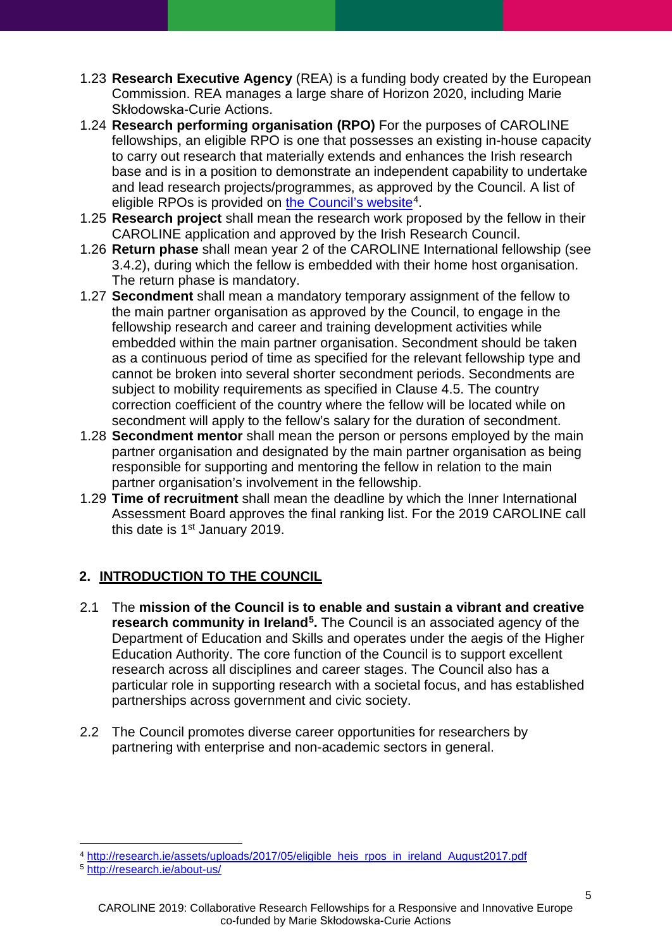- 1.23 **Research Executive Agency** (REA) is a funding body created by the European Commission. REA manages a large share of Horizon 2020, including Marie Skłodowska-Curie Actions.
- <span id="page-4-1"></span>1.24 **Research performing organisation (RPO)** For the purposes of CAROLINE fellowships, an eligible RPO is one that possesses an existing in-house capacity to carry out research that materially extends and enhances the Irish research base and is in a position to demonstrate an independent capability to undertake and lead research projects/programmes, as approved by the Council. A list of eligible RPOs is provided on [the Council's website](http://research.ie/assets/uploads/2017/05/eligible_heis_rpos_in_ireland_August2017.pdf)<sup>[4](#page-4-2)</sup>.
- 1.25 **Research project** shall mean the research work proposed by the fellow in their CAROLINE application and approved by the Irish Research Council.
- 1.26 **Return phase** shall mean year 2 of the CAROLINE International fellowship (see [3.4.2\)](#page-6-1), during which the fellow is embedded with their home host organisation. The return phase is mandatory.
- 1.27 **Secondment** shall mean a mandatory temporary assignment of the fellow to the main partner organisation as approved by the Council, to engage in the fellowship research and career and training development activities while embedded within the main partner organisation. Secondment should be taken as a continuous period of time as specified for the relevant fellowship type and cannot be broken into several shorter secondment periods. Secondments are subject to mobility requirements as specified in Clause [4.5.](#page-7-0) The country correction coefficient of the country where the fellow will be located while on secondment will apply to the fellow's salary for the duration of secondment.
- 1.28 **Secondment mentor** shall mean the person or persons employed by the main partner organisation and designated by the main partner organisation as being responsible for supporting and mentoring the fellow in relation to the main partner organisation's involvement in the fellowship.
- 1.29 **Time of recruitment** shall mean the deadline by which the Inner International Assessment Board approves the final ranking list. For the 2019 CAROLINE call this date is  $1<sup>st</sup>$  January 2019.

# <span id="page-4-0"></span>**2. INTRODUCTION TO THE COUNCIL**

- 2.1 The **mission of the Council is to enable and sustain a vibrant and creative research community in Ireland[5](#page-4-3).** The Council is an associated agency of the Department of Education and Skills and operates under the aegis of the Higher Education Authority. The core function of the Council is to support excellent research across all disciplines and career stages. The Council also has a particular role in supporting research with a societal focus, and has established partnerships across government and civic society.
- 2.2 The Council promotes diverse career opportunities for researchers by partnering with enterprise and non-academic sectors in general.

<sup>-</sup><sup>4</sup> [http://research.ie/assets/uploads/2017/05/eligible\\_heis\\_rpos\\_in\\_ireland\\_August2017.pdf](http://research.ie/assets/uploads/2017/05/eligible_heis_rpos_in_ireland_August2017.pdf)

<span id="page-4-3"></span><span id="page-4-2"></span><sup>5</sup> <http://research.ie/about-us/>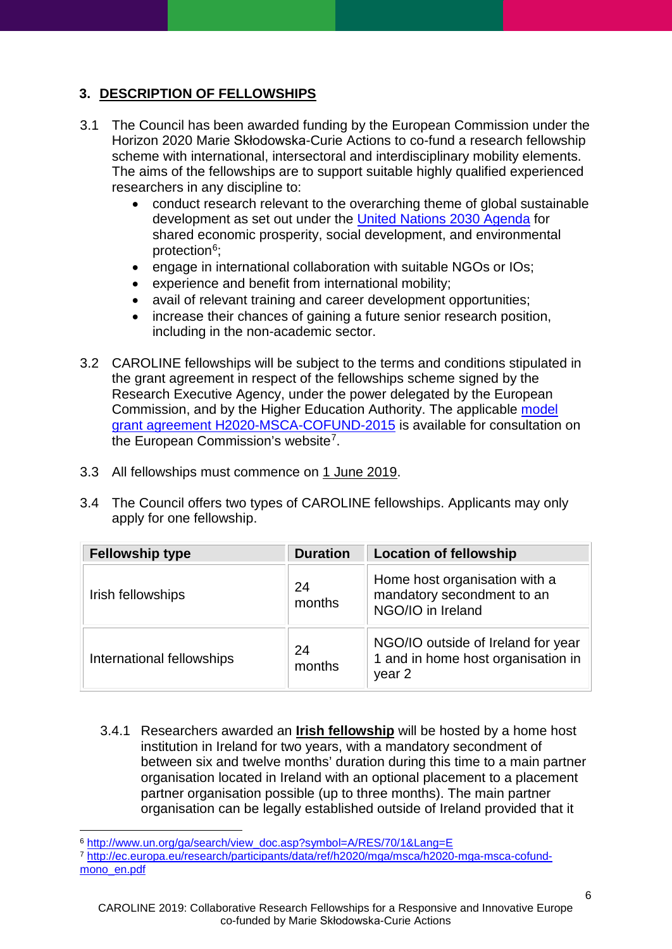# <span id="page-5-0"></span>**3. DESCRIPTION OF FELLOWSHIPS**

- 3.1 The Council has been awarded funding by the European Commission under the Horizon 2020 Marie Skłodowska-Curie Actions to co-fund a research fellowship scheme with international, intersectoral and interdisciplinary mobility elements. The aims of the fellowships are to support suitable highly qualified experienced researchers in any discipline to:
	- conduct research relevant to the overarching theme of global sustainable development as set out under the [United Nations 2030 Agenda](http://www.un.org/ga/search/view_doc.asp?symbol=A/RES/70/1&Lang=E) for shared economic prosperity, social development, and environmental protection<sup>6</sup>;
	- engage in international collaboration with suitable NGOs or IOs;
	- experience and benefit from international mobility;
	- avail of relevant training and career development opportunities;
	- increase their chances of gaining a future senior research position, including in the non-academic sector.
- 3.2 CAROLINE fellowships will be subject to the terms and conditions stipulated in the grant agreement in respect of the fellowships scheme signed by the Research Executive Agency, under the power delegated by the European Commission, and by the Higher Education Authority. The applicable [model](http://ec.europa.eu/research/participants/data/ref/h2020/mga/msca/h2020-mga-msca-cofund-mono_en.pdf)  [grant agreement H2020-MSCA-COFUND-2015](http://ec.europa.eu/research/participants/data/ref/h2020/mga/msca/h2020-mga-msca-cofund-mono_en.pdf) is available for consultation on the European Commission's website<sup>[7](#page-5-2)</sup>.
- 3.3 All fellowships must commence on 1 June 2019.
- 3.4 The Council offers two types of CAROLINE fellowships. Applicants may only apply for one fellowship.

| <b>Fellowship type</b>    | <b>Duration</b> | <b>Location of fellowship</b>                                                      |
|---------------------------|-----------------|------------------------------------------------------------------------------------|
| Irish fellowships         | 24<br>months    | Home host organisation with a<br>mandatory secondment to an<br>NGO/IO in Ireland   |
| International fellowships | 24<br>months    | NGO/IO outside of Ireland for year<br>1 and in home host organisation in<br>year 2 |

3.4.1 Researchers awarded an **Irish fellowship** will be hosted by a home host institution in Ireland for two years, with a mandatory secondment of between six and twelve months' duration during this time to a main partner organisation located in Ireland with an optional placement to a placement partner organisation possible (up to three months). The main partner organisation can be legally established outside of Ireland provided that it

<span id="page-5-1"></span><sup>-</sup><sup>6</sup> [http://www.un.org/ga/search/view\\_doc.asp?symbol=A/RES/70/1&Lang=E](http://www.un.org/ga/search/view_doc.asp?symbol=A/RES/70/1&Lang=E)

<span id="page-5-2"></span><sup>7</sup> [http://ec.europa.eu/research/participants/data/ref/h2020/mga/msca/h2020-mga-msca-cofund](http://ec.europa.eu/research/participants/data/ref/h2020/mga/msca/h2020-mga-msca-cofund-mono_en.pdf)[mono\\_en.pdf](http://ec.europa.eu/research/participants/data/ref/h2020/mga/msca/h2020-mga-msca-cofund-mono_en.pdf)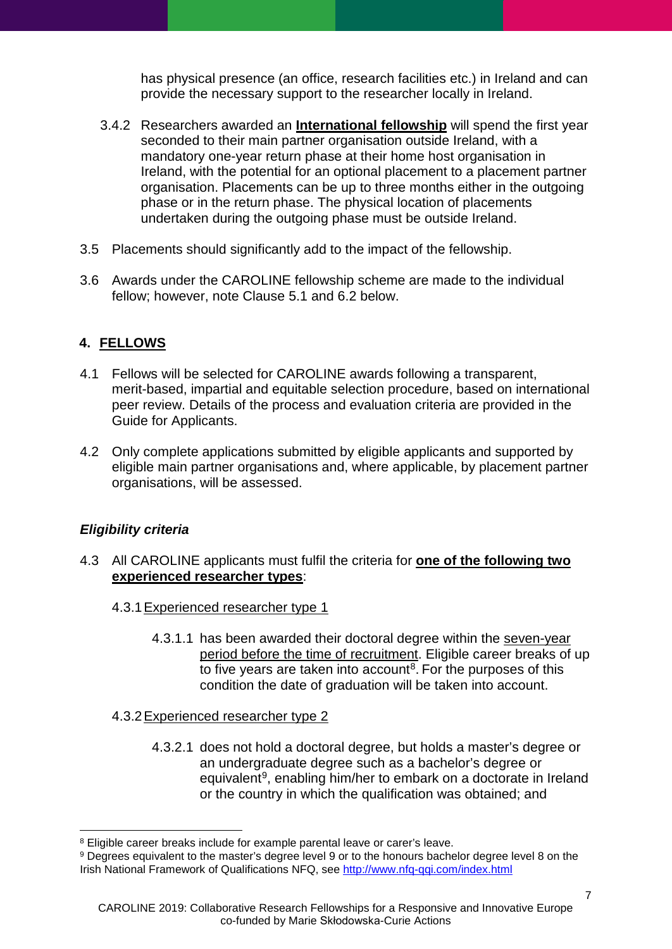has physical presence (an office, research facilities etc.) in Ireland and can provide the necessary support to the researcher locally in Ireland.

- <span id="page-6-1"></span>3.4.2 Researchers awarded an **International fellowship** will spend the first year seconded to their main partner organisation outside Ireland, with a mandatory one-year return phase at their home host organisation in Ireland, with the potential for an optional placement to a placement partner organisation. Placements can be up to three months either in the outgoing phase or in the return phase. The physical location of placements undertaken during the outgoing phase must be outside Ireland.
- 3.5 Placements should significantly add to the impact of the fellowship.
- 3.6 Awards under the CAROLINE fellowship scheme are made to the individual fellow; however, note Clause [5.1](#page-9-1) and [6.2](#page-11-1) below.

## <span id="page-6-0"></span>**4. FELLOWS**

- 4.1 Fellows will be selected for CAROLINE awards following a transparent, merit-based, impartial and equitable selection procedure, based on international peer review. Details of the process and evaluation criteria are provided in the Guide for Applicants.
- 4.2 Only complete applications submitted by eligible applicants and supported by eligible main partner organisations and, where applicable, by placement partner organisations, will be assessed.

## *Eligibility criteria*

- 4.3 All CAROLINE applicants must fulfil the criteria for **one of the following two experienced researcher types**:
	- 4.3.1Experienced researcher type 1
		- 4.3.1.1 has been awarded their doctoral degree within the seven-year period before the time of recruitment. Eligible career breaks of up to five years are taken into account<sup>[8](#page-6-2)</sup>. For the purposes of this condition the date of graduation will be taken into account.
	- 4.3.2Experienced researcher type 2
		- 4.3.2.1 does not hold a doctoral degree, but holds a master's degree or an undergraduate degree such as a bachelor's degree or equivalent<sup>9</sup>, enabling him/her to embark on a doctorate in Ireland or the country in which the qualification was obtained; and

<sup>-</sup><sup>8</sup> Eligible career breaks include for example parental leave or carer's leave.

<span id="page-6-3"></span><span id="page-6-2"></span><sup>&</sup>lt;sup>9</sup> Degrees equivalent to the master's degree level 9 or to the honours bachelor degree level 8 on the Irish National Framework of Qualifications NFQ, see<http://www.nfq-qqi.com/index.html>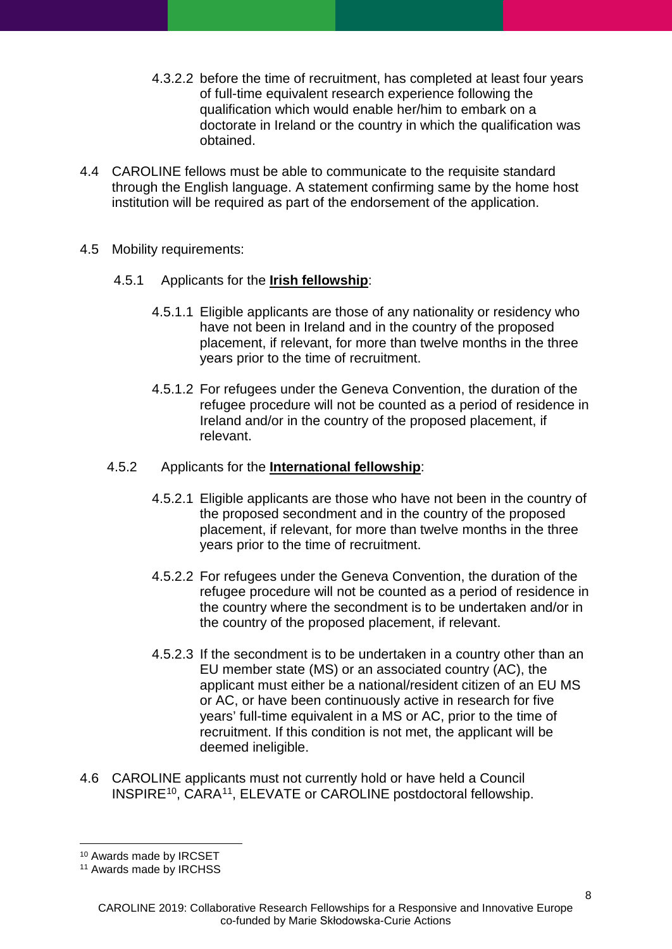- 4.3.2.2 before the time of recruitment, has completed at least four years of full-time equivalent research experience following the qualification which would enable her/him to embark on a doctorate in Ireland or the country in which the qualification was obtained.
- 4.4 CAROLINE fellows must be able to communicate to the requisite standard through the English language. A statement confirming same by the home host institution will be required as part of the endorsement of the application.
- <span id="page-7-0"></span>4.5 Mobility requirements:
	- 4.5.1 Applicants for the **Irish fellowship**:
		- 4.5.1.1 Eligible applicants are those of any nationality or residency who have not been in Ireland and in the country of the proposed placement, if relevant, for more than twelve months in the three years prior to the time of recruitment.
		- 4.5.1.2 For refugees under the Geneva Convention, the duration of the refugee procedure will not be counted as a period of residence in Ireland and/or in the country of the proposed placement, if relevant.

### 4.5.2 Applicants for the **International fellowship**:

- 4.5.2.1 Eligible applicants are those who have not been in the country of the proposed secondment and in the country of the proposed placement, if relevant, for more than twelve months in the three years prior to the time of recruitment.
- 4.5.2.2 For refugees under the Geneva Convention, the duration of the refugee procedure will not be counted as a period of residence in the country where the secondment is to be undertaken and/or in the country of the proposed placement, if relevant.
- 4.5.2.3 If the secondment is to be undertaken in a country other than an EU member state (MS) or an associated country (AC), the applicant must either be a national/resident citizen of an EU MS or AC, or have been continuously active in research for five years' full-time equivalent in a MS or AC, prior to the time of recruitment. If this condition is not met, the applicant will be deemed ineligible.
- 4.6 CAROLINE applicants must not currently hold or have held a Council INSPIRE<sup>10</sup>, CARA<sup>[11](#page-7-2)</sup>, ELEVATE or CAROLINE postdoctoral fellowship.

<sup>-</sup><sup>10</sup> Awards made by IRCSET

<span id="page-7-2"></span><span id="page-7-1"></span><sup>11</sup> Awards made by IRCHSS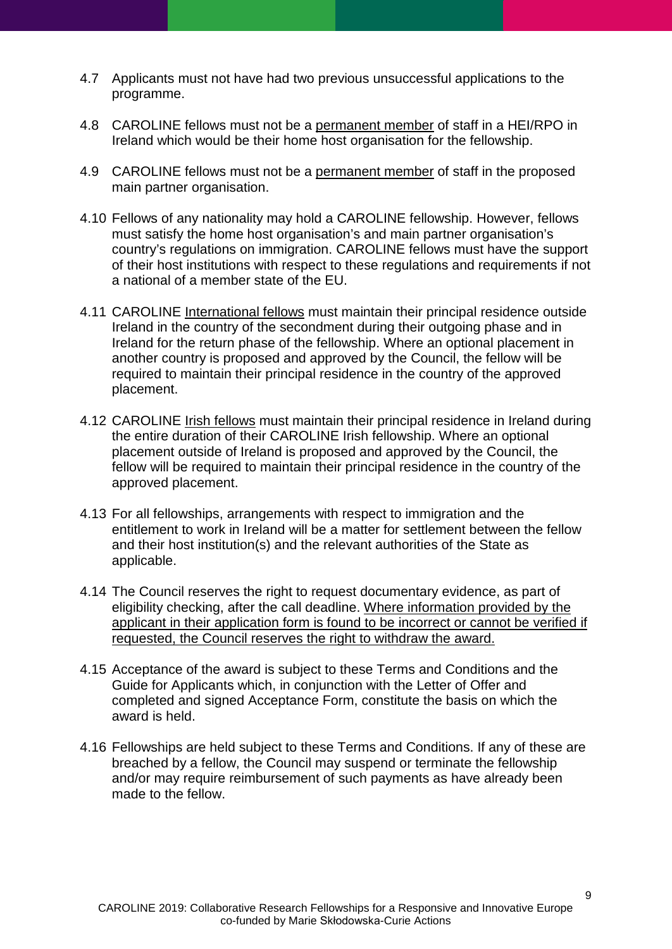- 4.7 Applicants must not have had two previous unsuccessful applications to the programme.
- 4.8 CAROLINE fellows must not be a permanent member of staff in a HEI/RPO in Ireland which would be their home host organisation for the fellowship.
- 4.9 CAROLINE fellows must not be a permanent member of staff in the proposed main partner organisation.
- 4.10 Fellows of any nationality may hold a CAROLINE fellowship. However, fellows must satisfy the home host organisation's and main partner organisation's country's regulations on immigration. CAROLINE fellows must have the support of their host institutions with respect to these regulations and requirements if not a national of a member state of the EU.
- 4.11 CAROLINE International fellows must maintain their principal residence outside Ireland in the country of the secondment during their outgoing phase and in Ireland for the return phase of the fellowship. Where an optional placement in another country is proposed and approved by the Council, the fellow will be required to maintain their principal residence in the country of the approved placement.
- 4.12 CAROLINE Irish fellows must maintain their principal residence in Ireland during the entire duration of their CAROLINE Irish fellowship. Where an optional placement outside of Ireland is proposed and approved by the Council, the fellow will be required to maintain their principal residence in the country of the approved placement.
- 4.13 For all fellowships, arrangements with respect to immigration and the entitlement to work in Ireland will be a matter for settlement between the fellow and their host institution(s) and the relevant authorities of the State as applicable.
- 4.14 The Council reserves the right to request documentary evidence, as part of eligibility checking, after the call deadline. Where information provided by the applicant in their application form is found to be incorrect or cannot be verified if requested, the Council reserves the right to withdraw the award.
- 4.15 Acceptance of the award is subject to these Terms and Conditions and the Guide for Applicants which, in conjunction with the Letter of Offer and completed and signed Acceptance Form, constitute the basis on which the award is held.
- 4.16 Fellowships are held subject to these Terms and Conditions. If any of these are breached by a fellow, the Council may suspend or terminate the fellowship and/or may require reimbursement of such payments as have already been made to the fellow.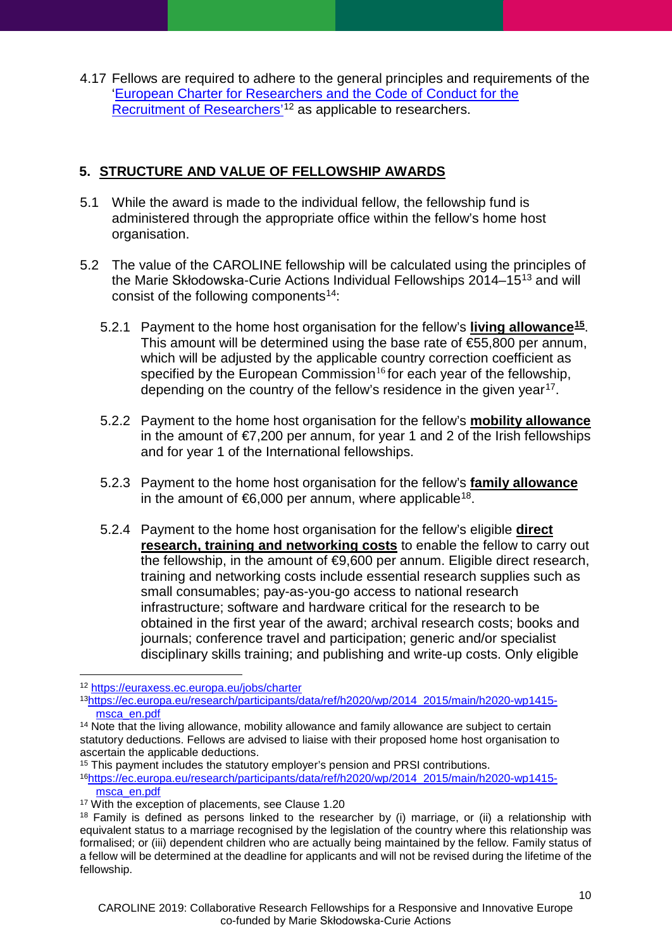4.17 Fellows are required to adhere to the general principles and requirements of the ['European Charter for Researchers and the Code of Conduct for the](https://euraxess.ec.europa.eu/jobs/charter)  [Recruitment of Researchers'](https://euraxess.ec.europa.eu/jobs/charter)<sup>[12](#page-9-2)</sup> as applicable to researchers.

# <span id="page-9-0"></span>**5. STRUCTURE AND VALUE OF FELLOWSHIP AWARDS**

- <span id="page-9-1"></span>5.1 While the award is made to the individual fellow, the fellowship fund is administered through the appropriate office within the fellow's home host organisation.
- 5.2 The value of the CAROLINE fellowship will be calculated using the principles of the Marie Skłodowska-Curie Actions Individual Fellowships 2014–15[13](#page-9-3) and will consist of the following components<sup>[14](#page-9-4)</sup>:
	- 5.2.1 Payment to the home host organisation for the fellow's **living allowance[15](#page-9-5)**. This amount will be determined using the base rate of €55,800 per annum, which will be adjusted by the applicable country correction coefficient as specified by the European Commission<sup>[16](#page-9-6)</sup> for each year of the fellowship, depending on the country of the fellow's residence in the given year<sup>17</sup>.
	- 5.2.2 Payment to the home host organisation for the fellow's **mobility allowance** in the amount of  $\epsilon$ 7,200 per annum, for year 1 and 2 of the Irish fellowships and for year 1 of the International fellowships.
	- 5.2.3 Payment to the home host organisation for the fellow's **family allowance** in the amount of  $66,000$  per annum, where applicable<sup>18</sup>.
	- 5.2.4 Payment to the home host organisation for the fellow's eligible **direct research, training and networking costs** to enable the fellow to carry out the fellowship, in the amount of  $\epsilon$ 9,600 per annum. Eligible direct research, training and networking costs include essential research supplies such as small consumables; pay-as-you-go access to national research infrastructure; software and hardware critical for the research to be obtained in the first year of the award; archival research costs; books and journals; conference travel and participation; generic and/or specialist disciplinary skills training; and publishing and write-up costs. Only eligible

<span id="page-9-6"></span>1[6https://ec.europa.eu/research/participants/data/ref/h2020/wp/2014\\_2015/main/h2020-wp1415](https://ec.europa.eu/research/participants/data/ref/h2020/wp/2014_2015/main/h2020-wp1415-msca_en.pdf) [msca\\_en.pdf](https://ec.europa.eu/research/participants/data/ref/h2020/wp/2014_2015/main/h2020-wp1415-msca_en.pdf)

<span id="page-9-2"></span><sup>-</sup><sup>12</sup> <https://euraxess.ec.europa.eu/jobs/charter>

<span id="page-9-3"></span><sup>1</sup>[3https://ec.europa.eu/research/participants/data/ref/h2020/wp/2014\\_2015/main/h2020-wp1415](https://ec.europa.eu/research/participants/data/ref/h2020/wp/2014_2015/main/h2020-wp1415-msca_en.pdf) [msca\\_en.pdf](https://ec.europa.eu/research/participants/data/ref/h2020/wp/2014_2015/main/h2020-wp1415-msca_en.pdf)

<span id="page-9-4"></span><sup>&</sup>lt;sup>14</sup> Note that the living allowance, mobility allowance and family allowance are subject to certain statutory deductions. Fellows are advised to liaise with their proposed home host organisation to ascertain the applicable deductions.

<span id="page-9-5"></span><sup>15</sup> This payment includes the statutory employer's pension and PRSI contributions.

<span id="page-9-7"></span><sup>&</sup>lt;sup>17</sup> With the exception of placements, see Clause [1.20](#page-3-4)

<span id="page-9-8"></span><sup>&</sup>lt;sup>18</sup> Family is defined as persons linked to the researcher by (i) marriage, or (ii) a relationship with equivalent status to a marriage recognised by the legislation of the country where this relationship was formalised; or (iii) dependent children who are actually being maintained by the fellow. Family status of a fellow will be determined at the deadline for applicants and will not be revised during the lifetime of the fellowship.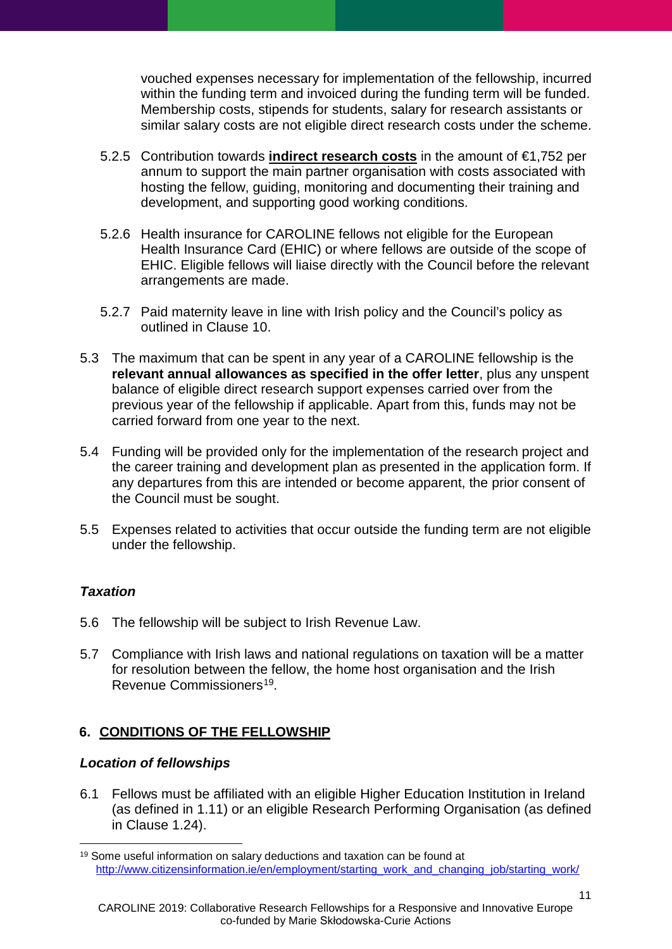vouched expenses necessary for implementation of the fellowship, incurred within the funding term and invoiced during the funding term will be funded. Membership costs, stipends for students, salary for research assistants or similar salary costs are not eligible direct research costs under the scheme.

- 5.2.5 Contribution towards **indirect research costs** in the amount of €1,752 per annum to support the main partner organisation with costs associated with hosting the fellow, guiding, monitoring and documenting their training and development, and supporting good working conditions.
- 5.2.6 Health insurance for CAROLINE fellows not eligible for the European Health Insurance Card (EHIC) or where fellows are outside of the scope of EHIC. Eligible fellows will liaise directly with the Council before the relevant arrangements are made.
- <span id="page-10-2"></span>5.2.7 Paid maternity leave in line with Irish policy and the Council's policy as outlined in Clause 10.
- 5.3 The maximum that can be spent in any year of a CAROLINE fellowship is the **relevant annual allowances as specified in the offer letter**, plus any unspent balance of eligible direct research support expenses carried over from the previous year of the fellowship if applicable. Apart from this, funds may not be carried forward from one year to the next.
- 5.4 Funding will be provided only for the implementation of the research project and the career training and development plan as presented in the application form. If any departures from this are intended or become apparent, the prior consent of the Council must be sought.
- 5.5 Expenses related to activities that occur outside the funding term are not eligible under the fellowship.

## *Taxation*

-

- 5.6 The fellowship will be subject to Irish Revenue Law.
- 5.7 Compliance with Irish laws and national regulations on taxation will be a matter for resolution between the fellow, the home host organisation and the Irish Revenue Commissioners<sup>19</sup>.

## <span id="page-10-0"></span>**6. CONDITIONS OF THE FELLOWSHIP**

#### *Location of fellowships*

6.1 Fellows must be affiliated with an eligible Higher Education Institution in Ireland (as defined in [1.11\)](#page-2-3) or an eligible Research Performing Organisation (as defined in Clause [1.24\)](#page-4-1).

<span id="page-10-1"></span><sup>19</sup> Some useful information on salary deductions and taxation can be found at [http://www.citizensinformation.ie/en/employment/starting\\_work\\_and\\_changing\\_job/starting\\_work/](http://www.citizensinformation.ie/en/employment/starting_work_and_changing_job/starting_work/)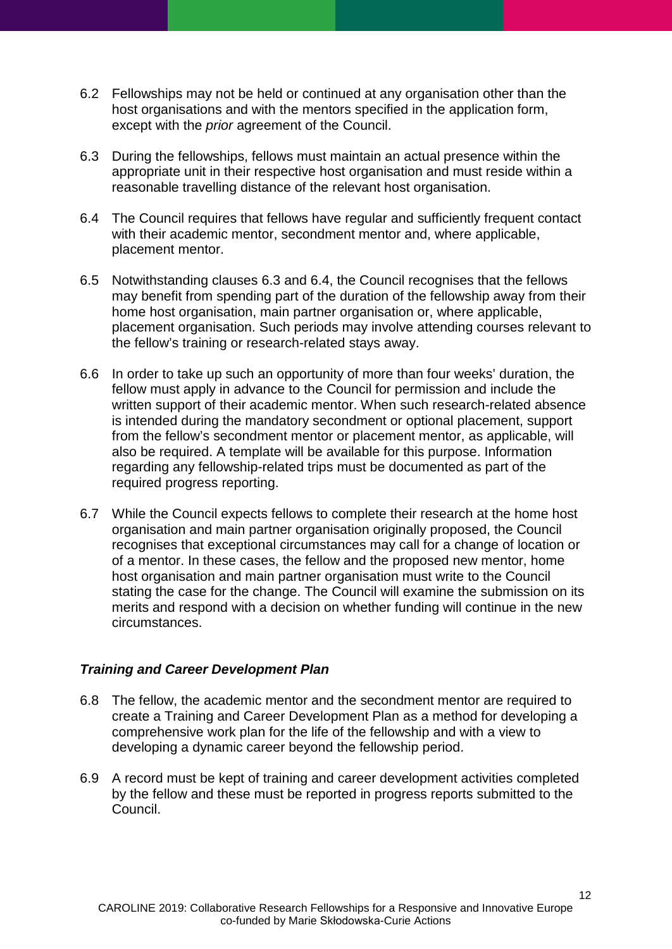- <span id="page-11-1"></span>6.2 Fellowships may not be held or continued at any organisation other than the host organisations and with the mentors specified in the application form, except with the *prior* agreement of the Council.
- <span id="page-11-2"></span>6.3 During the fellowships, fellows must maintain an actual presence within the appropriate unit in their respective host organisation and must reside within a reasonable travelling distance of the relevant host organisation.
- <span id="page-11-3"></span>6.4 The Council requires that fellows have regular and sufficiently frequent contact with their academic mentor, secondment mentor and, where applicable, placement mentor.
- 6.5 Notwithstanding clauses [6.3](#page-11-2) and [6.4,](#page-11-3) the Council recognises that the fellows may benefit from spending part of the duration of the fellowship away from their home host organisation, main partner organisation or, where applicable, placement organisation. Such periods may involve attending courses relevant to the fellow's training or research-related stays away.
- 6.6 In order to take up such an opportunity of more than four weeks' duration, the fellow must apply in advance to the Council for permission and include the written support of their academic mentor. When such research-related absence is intended during the mandatory secondment or optional placement, support from the fellow's secondment mentor or placement mentor, as applicable, will also be required. A template will be available for this purpose. Information regarding any fellowship-related trips must be documented as part of the required progress reporting.
- 6.7 While the Council expects fellows to complete their research at the home host organisation and main partner organisation originally proposed, the Council recognises that exceptional circumstances may call for a change of location or of a mentor. In these cases, the fellow and the proposed new mentor, home host organisation and main partner organisation must write to the Council stating the case for the change. The Council will examine the submission on its merits and respond with a decision on whether funding will continue in the new circumstances.

## <span id="page-11-0"></span>*Training and Career Development Plan*

- 6.8 The fellow, the academic mentor and the secondment mentor are required to create a Training and Career Development Plan as a method for developing a comprehensive work plan for the life of the fellowship and with a view to developing a dynamic career beyond the fellowship period.
- 6.9 A record must be kept of training and career development activities completed by the fellow and these must be reported in progress reports submitted to the Council.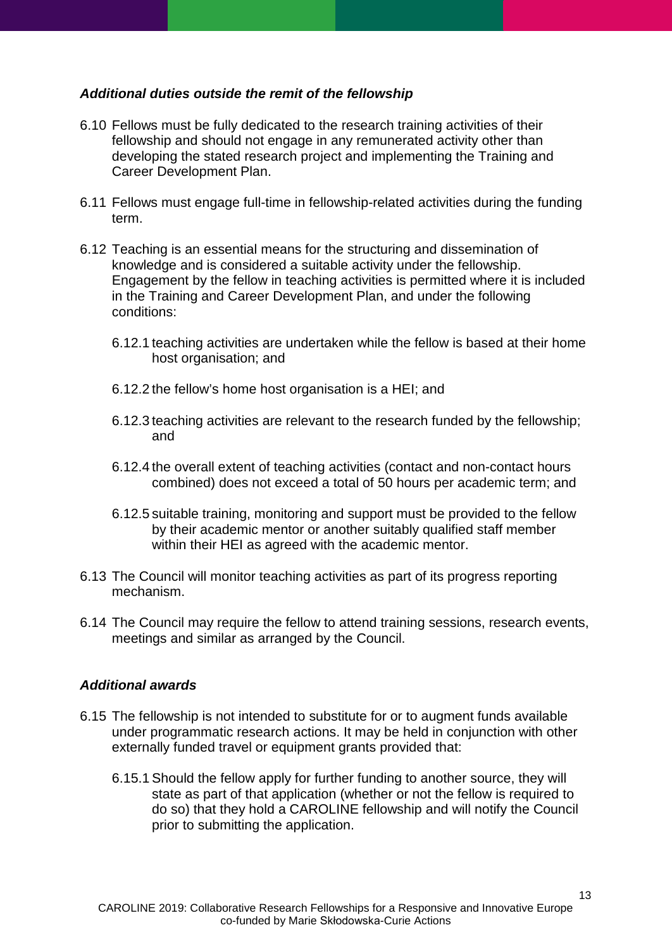### <span id="page-12-0"></span>*Additional duties outside the remit of the fellowship*

- 6.10 Fellows must be fully dedicated to the research training activities of their fellowship and should not engage in any remunerated activity other than developing the stated research project and implementing the Training and Career Development Plan.
- 6.11 Fellows must engage full-time in fellowship-related activities during the funding term.
- 6.12 Teaching is an essential means for the structuring and dissemination of knowledge and is considered a suitable activity under the fellowship. Engagement by the fellow in teaching activities is permitted where it is included in the Training and Career Development Plan, and under the following conditions:
	- 6.12.1 teaching activities are undertaken while the fellow is based at their home host organisation; and
	- 6.12.2 the fellow's home host organisation is a HEI; and
	- 6.12.3 teaching activities are relevant to the research funded by the fellowship; and
	- 6.12.4 the overall extent of teaching activities (contact and non-contact hours combined) does not exceed a total of 50 hours per academic term; and
	- 6.12.5 suitable training, monitoring and support must be provided to the fellow by their academic mentor or another suitably qualified staff member within their HEI as agreed with the academic mentor.
- 6.13 The Council will monitor teaching activities as part of its progress reporting mechanism.
- 6.14 The Council may require the fellow to attend training sessions, research events, meetings and similar as arranged by the Council.

#### <span id="page-12-1"></span>*Additional awards*

- 6.15 The fellowship is not intended to substitute for or to augment funds available under programmatic research actions. It may be held in conjunction with other externally funded travel or equipment grants provided that:
	- 6.15.1 Should the fellow apply for further funding to another source, they will state as part of that application (whether or not the fellow is required to do so) that they hold a CAROLINE fellowship and will notify the Council prior to submitting the application.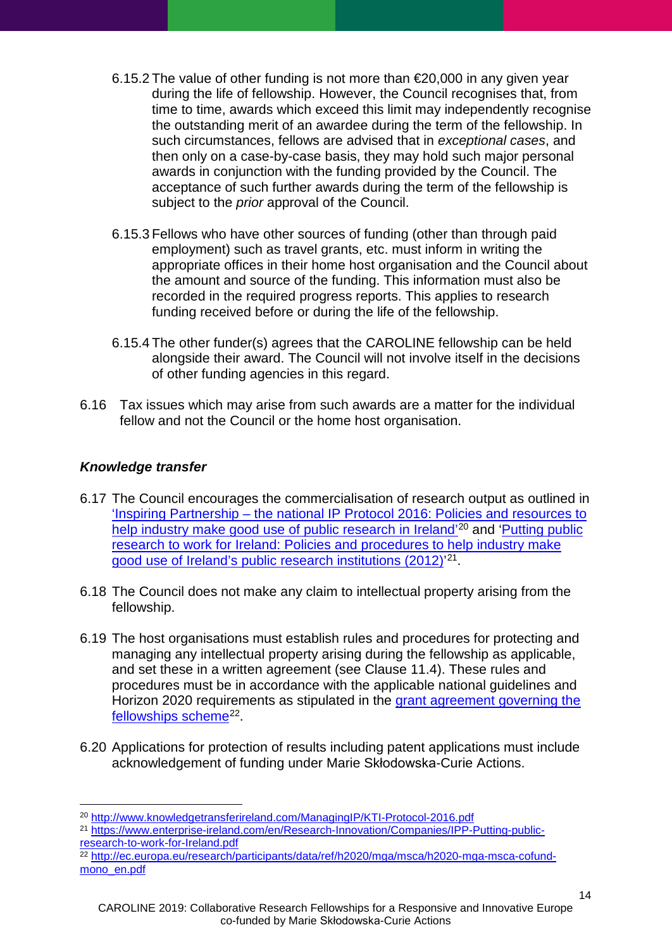- 6.15.2 The value of other funding is not more than  $\epsilon$  20.000 in any given year during the life of fellowship. However, the Council recognises that, from time to time, awards which exceed this limit may independently recognise the outstanding merit of an awardee during the term of the fellowship. In such circumstances, fellows are advised that in *exceptional cases*, and then only on a case-by-case basis, they may hold such major personal awards in conjunction with the funding provided by the Council. The acceptance of such further awards during the term of the fellowship is subject to the *prior* approval of the Council.
- 6.15.3 Fellows who have other sources of funding (other than through paid employment) such as travel grants, etc. must inform in writing the appropriate offices in their home host organisation and the Council about the amount and source of the funding. This information must also be recorded in the required progress reports. This applies to research funding received before or during the life of the fellowship.
- 6.15.4 The other funder(s) agrees that the CAROLINE fellowship can be held alongside their award. The Council will not involve itself in the decisions of other funding agencies in this regard.
- 6.16 Tax issues which may arise from such awards are a matter for the individual fellow and not the Council or the home host organisation.

### <span id="page-13-0"></span>*Knowledge transfer*

- 6.17 The Council encourages the commercialisation of research output as outlined in 'Inspiring Partnership – [the national IP Protocol 2016: Policies and resources to](http://www.knowledgetransferireland.com/ManagingIP/KTI-Protocol-2016.pdf)  [help industry make good use of public research in Ireland'](http://www.knowledgetransferireland.com/ManagingIP/KTI-Protocol-2016.pdf)<sup>[20](#page-13-1)</sup> and 'Putting public [research to work for Ireland: Policies and procedures to help industry make](https://www.enterprise-ireland.com/en/Research-Innovation/Companies/IPP-Putting-public-research-to-work-for-Ireland.pdf)  [good use of Ireland's public research institutions \(2012\)'](https://www.enterprise-ireland.com/en/Research-Innovation/Companies/IPP-Putting-public-research-to-work-for-Ireland.pdf)<sup>[21](#page-13-2)</sup>.
- 6.18 The Council does not make any claim to intellectual property arising from the fellowship.
- 6.19 The host organisations must establish rules and procedures for protecting and managing any intellectual property arising during the fellowship as applicable, and set these in a written agreement (see Clause [11.4\)](#page-23-1). These rules and procedures must be in accordance with the applicable national guidelines and Horizon 2020 requirements as stipulated in the [grant agreement governing the](http://ec.europa.eu/research/participants/data/ref/h2020/mga/msca/h2020-mga-msca-cofund-mono_en.pdf)  [fellowships scheme](http://ec.europa.eu/research/participants/data/ref/h2020/mga/msca/h2020-mga-msca-cofund-mono_en.pdf)<sup>22</sup>.
- 6.20 Applications for protection of results including patent applications must include acknowledgement of funding under Marie Skłodowska-Curie Actions.

<sup>-</sup><sup>20</sup> <http://www.knowledgetransferireland.com/ManagingIP/KTI-Protocol-2016.pdf>

<span id="page-13-2"></span><span id="page-13-1"></span><sup>&</sup>lt;sup>21</sup> https://www.enterprise-ireland.com/en/Research-Innovation/Companies/IPP-Putting-public-<br>research-to-work-for-Ireland.pdf

<span id="page-13-3"></span><sup>22</sup> [http://ec.europa.eu/research/participants/data/ref/h2020/mga/msca/h2020-mga-msca-cofund](http://ec.europa.eu/research/participants/data/ref/h2020/mga/msca/h2020-mga-msca-cofund-mono_en.pdf)[mono\\_en.pdf](http://ec.europa.eu/research/participants/data/ref/h2020/mga/msca/h2020-mga-msca-cofund-mono_en.pdf)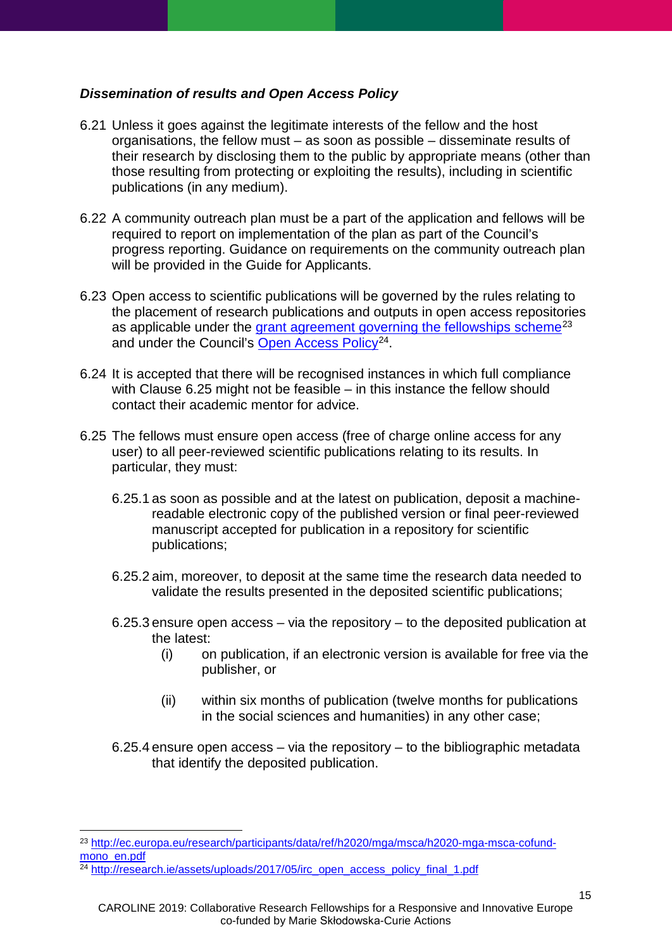### <span id="page-14-0"></span>*Dissemination of results and Open Access Policy*

- 6.21 Unless it goes against the legitimate interests of the fellow and the host organisations, the fellow must – as soon as possible – disseminate results of their research by disclosing them to the public by appropriate means (other than those resulting from protecting or exploiting the results), including in scientific publications (in any medium).
- 6.22 A community outreach plan must be a part of the application and fellows will be required to report on implementation of the plan as part of the Council's progress reporting. Guidance on requirements on the community outreach plan will be provided in the Guide for Applicants.
- 6.23 Open access to scientific publications will be governed by the rules relating to the placement of research publications and outputs in open access repositories as applicable under the [grant agreement governing the fellowships scheme](http://ec.europa.eu/research/participants/data/ref/h2020/mga/msca/h2020-mga-msca-cofund-mono_en.pdf)<sup>[23](#page-14-2)</sup> and under the Council's [Open Access Policy](http://research.ie/assets/uploads/2017/05/irc_open_access_policy_final_1.pdf)<sup>24</sup>.
- 6.24 It is accepted that there will be recognised instances in which full compliance with Clause [6.25](#page-14-1) might not be feasible – in this instance the fellow should contact their academic mentor for advice.
- <span id="page-14-1"></span>6.25 The fellows must ensure open access (free of charge online access for any user) to all peer-reviewed scientific publications relating to its results. In particular, they must:
	- 6.25.1 as soon as possible and at the latest on publication, deposit a machinereadable electronic copy of the published version or final peer-reviewed manuscript accepted for publication in a repository for scientific publications;
	- 6.25.2 aim, moreover, to deposit at the same time the research data needed to validate the results presented in the deposited scientific publications;
	- 6.25.3 ensure open access via the repository to the deposited publication at the latest:
		- (i) on publication, if an electronic version is available for free via the publisher, or
		- (ii) within six months of publication (twelve months for publications in the social sciences and humanities) in any other case;
	- 6.25.4 ensure open access via the repository to the bibliographic metadata that identify the deposited publication.

<span id="page-14-2"></span><sup>-</sup><sup>23</sup> [http://ec.europa.eu/research/participants/data/ref/h2020/mga/msca/h2020-mga-msca-cofund](http://ec.europa.eu/research/participants/data/ref/h2020/mga/msca/h2020-mga-msca-cofund-mono_en.pdf)[mono\\_en.pdf](http://ec.europa.eu/research/participants/data/ref/h2020/mga/msca/h2020-mga-msca-cofund-mono_en.pdf)

<span id="page-14-3"></span><sup>24</sup> [http://research.ie/assets/uploads/2017/05/irc\\_open\\_access\\_policy\\_final\\_1.pdf](http://research.ie/assets/uploads/2017/05/irc_open_access_policy_final_1.pdf)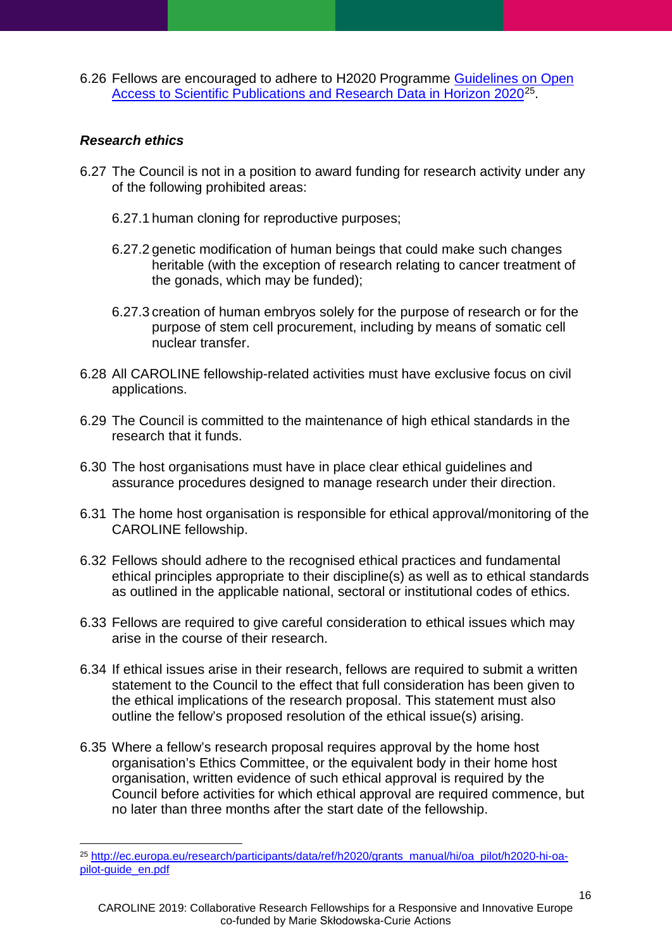6.26 Fellows are encouraged to adhere to H2020 Programme [Guidelines on Open](http://ec.europa.eu/research/participants/data/ref/h2020/grants_manual/hi/oa_pilot/h2020-hi-oa-pilot-guide_en.pdf)  [Access to Scientific Publications and Research Data in Horizon 2020](http://ec.europa.eu/research/participants/data/ref/h2020/grants_manual/hi/oa_pilot/h2020-hi-oa-pilot-guide_en.pdf)[25](#page-15-1).

## <span id="page-15-0"></span>*Research ethics*

- 6.27 The Council is not in a position to award funding for research activity under any of the following prohibited areas:
	- 6.27.1 human cloning for reproductive purposes;
	- 6.27.2 genetic modification of human beings that could make such changes heritable (with the exception of research relating to cancer treatment of the gonads, which may be funded);
	- 6.27.3 creation of human embryos solely for the purpose of research or for the purpose of stem cell procurement, including by means of somatic cell nuclear transfer.
- 6.28 All CAROLINE fellowship-related activities must have exclusive focus on civil applications.
- 6.29 The Council is committed to the maintenance of high ethical standards in the research that it funds.
- 6.30 The host organisations must have in place clear ethical guidelines and assurance procedures designed to manage research under their direction.
- 6.31 The home host organisation is responsible for ethical approval/monitoring of the CAROLINE fellowship.
- 6.32 Fellows should adhere to the recognised ethical practices and fundamental ethical principles appropriate to their discipline(s) as well as to ethical standards as outlined in the applicable national, sectoral or institutional codes of ethics.
- 6.33 Fellows are required to give careful consideration to ethical issues which may arise in the course of their research.
- 6.34 If ethical issues arise in their research, fellows are required to submit a written statement to the Council to the effect that full consideration has been given to the ethical implications of the research proposal. This statement must also outline the fellow's proposed resolution of the ethical issue(s) arising.
- 6.35 Where a fellow's research proposal requires approval by the home host organisation's Ethics Committee, or the equivalent body in their home host organisation, written evidence of such ethical approval is required by the Council before activities for which ethical approval are required commence, but no later than three months after the start date of the fellowship.

<span id="page-15-1"></span><sup>-</sup><sup>25</sup> [http://ec.europa.eu/research/participants/data/ref/h2020/grants\\_manual/hi/oa\\_pilot/h2020-hi-oa](http://ec.europa.eu/research/participants/data/ref/h2020/grants_manual/hi/oa_pilot/h2020-hi-oa-pilot-guide_en.pdf)[pilot-guide\\_en.pdf](http://ec.europa.eu/research/participants/data/ref/h2020/grants_manual/hi/oa_pilot/h2020-hi-oa-pilot-guide_en.pdf)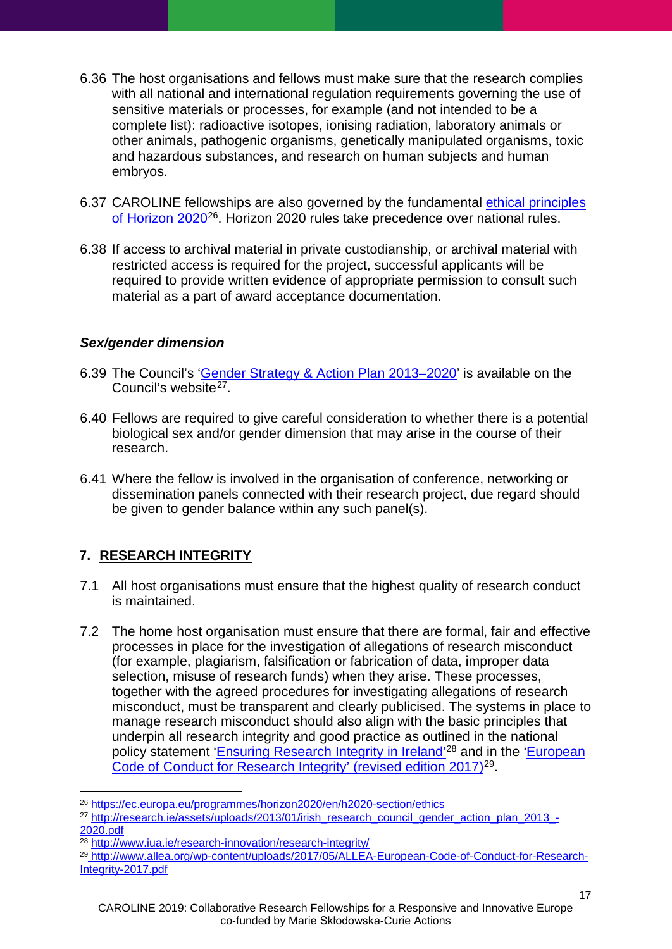- 6.36 The host organisations and fellows must make sure that the research complies with all national and international regulation requirements governing the use of sensitive materials or processes, for example (and not intended to be a complete list): radioactive isotopes, ionising radiation, laboratory animals or other animals, pathogenic organisms, genetically manipulated organisms, toxic and hazardous substances, and research on human subjects and human embryos.
- 6.37 CAROLINE fellowships are also governed by the fundamental [ethical principles](https://ec.europa.eu/programmes/horizon2020/en/h2020-section/ethics)  [of Horizon 2020](https://ec.europa.eu/programmes/horizon2020/en/h2020-section/ethics)[26](#page-16-2). Horizon 2020 rules take precedence over national rules.
- 6.38 If access to archival material in private custodianship, or archival material with restricted access is required for the project, successful applicants will be required to provide written evidence of appropriate permission to consult such material as a part of award acceptance documentation.

#### <span id="page-16-0"></span>*Sex/gender dimension*

- 6.39 The Council's ['Gender Strategy & Action Plan 2013–2020'](http://research.ie/assets/uploads/2013/01/irish_research_council_gender_action_plan_2013_-2020.pdf) is available on the Council's website<sup>[27](#page-16-3)</sup>.
- 6.40 Fellows are required to give careful consideration to whether there is a potential biological sex and/or gender dimension that may arise in the course of their research.
- 6.41 Where the fellow is involved in the organisation of conference, networking or dissemination panels connected with their research project, due regard should be given to gender balance within any such panel(s).

# <span id="page-16-1"></span>**7. RESEARCH INTEGRITY**

- 7.1 All host organisations must ensure that the highest quality of research conduct is maintained.
- 7.2 The home host organisation must ensure that there are formal, fair and effective processes in place for the investigation of allegations of research misconduct (for example, plagiarism, falsification or fabrication of data, improper data selection, misuse of research funds) when they arise. These processes, together with the agreed procedures for investigating allegations of research misconduct, must be transparent and clearly publicised. The systems in place to manage research misconduct should also align with the basic principles that underpin all research integrity and good practice as outlined in the national policy statement ['Ensuring Research Integrity in Ireland'](http://www.iua.ie/publication/view/national-policy-statement-on-ensuring-research-integrity-in-ireland/)<sup>[28](#page-16-4)</sup> and in the 'European [Code of Conduct for Research Integrity'](http://www.allea.org/wp-content/uploads/2017/05/ALLEA-European-Code-of-Conduct-for-Research-Integrity-2017.pdf) (revised edition 2017)<sup>[29](#page-16-5)</sup>.

<span id="page-16-2"></span><sup>&</sup>lt;u>.</u> <sup>26</sup> <https://ec.europa.eu/programmes/horizon2020/en/h2020-section/ethics>

<span id="page-16-3"></span><sup>&</sup>lt;sup>27</sup> [http://research.ie/assets/uploads/2013/01/irish\\_research\\_council\\_gender\\_action\\_plan\\_2013\\_-](http://research.ie/assets/uploads/2013/01/irish_research_council_gender_action_plan_2013_-2020.pdf) [2020.pdf](http://research.ie/assets/uploads/2013/01/irish_research_council_gender_action_plan_2013_-2020.pdf)

<span id="page-16-4"></span><sup>28</sup> <http://www.iua.ie/research-innovation/research-integrity/>

<span id="page-16-5"></span><sup>&</sup>lt;sup>29</sup> http://www.allea.org/wp-content/uploads/2017/05/ALLEA-European-Code-of-Conduct-for-Research-Integrity-2017.pdf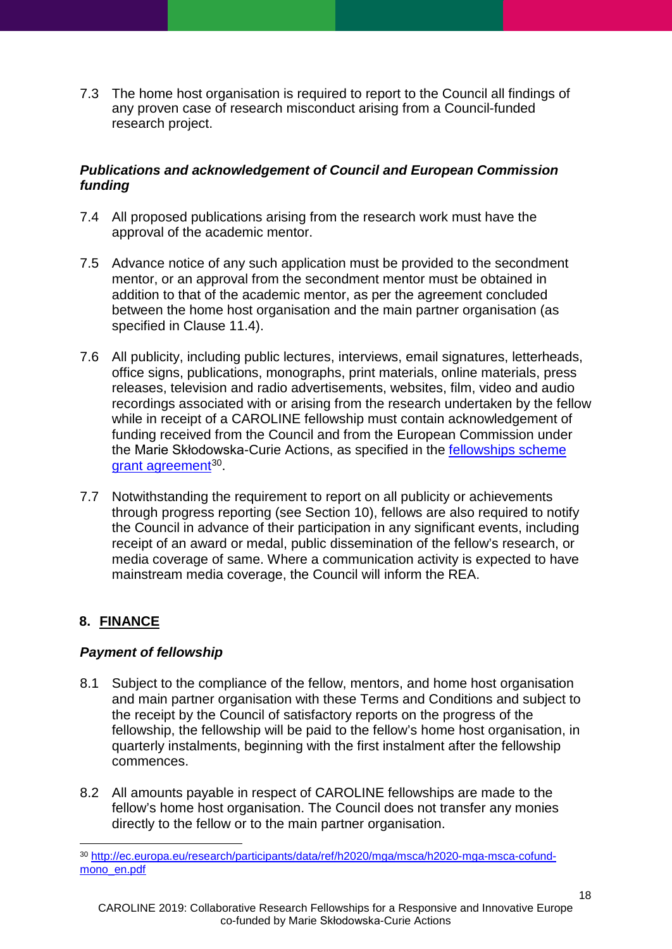7.3 The home host organisation is required to report to the Council all findings of any proven case of research misconduct arising from a Council-funded research project.

## <span id="page-17-0"></span>*Publications and acknowledgement of Council and European Commission funding*

- 7.4 All proposed publications arising from the research work must have the approval of the academic mentor.
- 7.5 Advance notice of any such application must be provided to the secondment mentor, or an approval from the secondment mentor must be obtained in addition to that of the academic mentor, as per the agreement concluded between the home host organisation and the main partner organisation (as specified in Clause [11.4\)](#page-23-1).
- 7.6 All publicity, including public lectures, interviews, email signatures, letterheads, office signs, publications, monographs, print materials, online materials, press releases, television and radio advertisements, websites, film, video and audio recordings associated with or arising from the research undertaken by the fellow while in receipt of a CAROLINE fellowship must contain acknowledgement of funding received from the Council and from the European Commission under the Marie Skłodowska-Curie Actions, as specified in the [fellowships scheme](http://ec.europa.eu/research/participants/data/ref/h2020/mga/msca/h2020-mga-msca-cofund-mono_en.pdf)  [grant agreement](http://ec.europa.eu/research/participants/data/ref/h2020/mga/msca/h2020-mga-msca-cofund-mono_en.pdf)<sup>30</sup>.
- 7.7 Notwithstanding the requirement to report on all publicity or achievements through progress reporting (see Section 10), fellows are also required to notify the Council in advance of their participation in any significant events, including receipt of an award or medal, public dissemination of the fellow's research, or media coverage of same. Where a communication activity is expected to have mainstream media coverage, the Council will inform the REA.

# <span id="page-17-1"></span>**8. FINANCE**

## <span id="page-17-2"></span>*Payment of fellowship*

- 8.1 Subject to the compliance of the fellow, mentors, and home host organisation and main partner organisation with these Terms and Conditions and subject to the receipt by the Council of satisfactory reports on the progress of the fellowship, the fellowship will be paid to the fellow's home host organisation, in quarterly instalments, beginning with the first instalment after the fellowship commences.
- 8.2 All amounts payable in respect of CAROLINE fellowships are made to the fellow's home host organisation. The Council does not transfer any monies directly to the fellow or to the main partner organisation.

<span id="page-17-3"></span><sup>-</sup><sup>30</sup> [http://ec.europa.eu/research/participants/data/ref/h2020/mga/msca/h2020-mga-msca-cofund](http://ec.europa.eu/research/participants/data/ref/h2020/mga/msca/h2020-mga-msca-cofund-mono_en.pdf)[mono\\_en.pdf](http://ec.europa.eu/research/participants/data/ref/h2020/mga/msca/h2020-mga-msca-cofund-mono_en.pdf)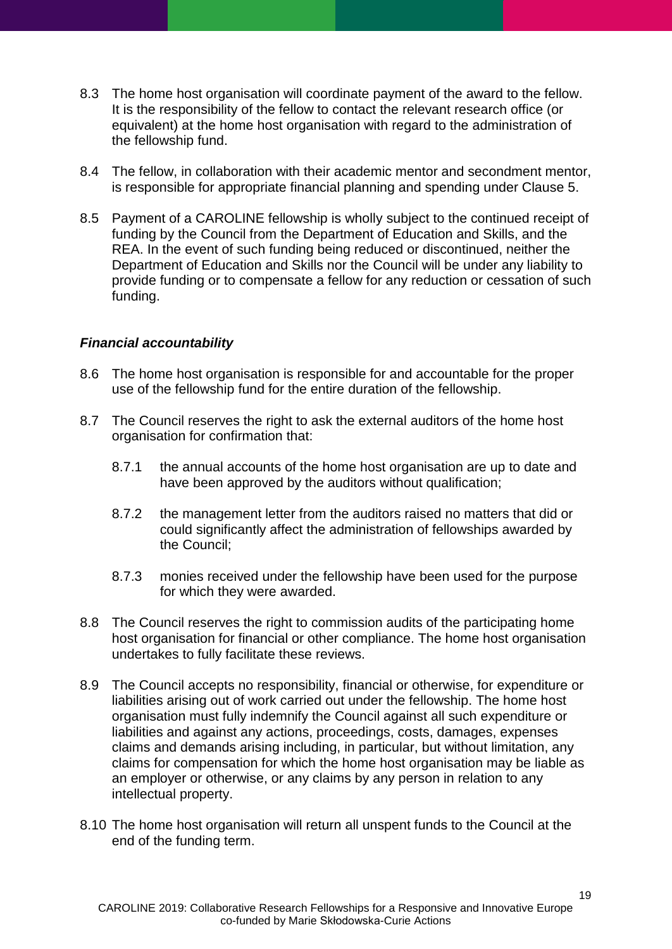- 8.3 The home host organisation will coordinate payment of the award to the fellow. It is the responsibility of the fellow to contact the relevant research office (or equivalent) at the home host organisation with regard to the administration of the fellowship fund.
- 8.4 The fellow, in collaboration with their academic mentor and secondment mentor, is responsible for appropriate financial planning and spending under Clause [5.](#page-9-0)
- 8.5 Payment of a CAROLINE fellowship is wholly subject to the continued receipt of funding by the Council from the Department of Education and Skills, and the REA. In the event of such funding being reduced or discontinued, neither the Department of Education and Skills nor the Council will be under any liability to provide funding or to compensate a fellow for any reduction or cessation of such funding.

### <span id="page-18-0"></span>*Financial accountability*

- 8.6 The home host organisation is responsible for and accountable for the proper use of the fellowship fund for the entire duration of the fellowship.
- 8.7 The Council reserves the right to ask the external auditors of the home host organisation for confirmation that:
	- 8.7.1 the annual accounts of the home host organisation are up to date and have been approved by the auditors without qualification;
	- 8.7.2 the management letter from the auditors raised no matters that did or could significantly affect the administration of fellowships awarded by the Council;
	- 8.7.3 monies received under the fellowship have been used for the purpose for which they were awarded.
- 8.8 The Council reserves the right to commission audits of the participating home host organisation for financial or other compliance. The home host organisation undertakes to fully facilitate these reviews.
- 8.9 The Council accepts no responsibility, financial or otherwise, for expenditure or liabilities arising out of work carried out under the fellowship. The home host organisation must fully indemnify the Council against all such expenditure or liabilities and against any actions, proceedings, costs, damages, expenses claims and demands arising including, in particular, but without limitation, any claims for compensation for which the home host organisation may be liable as an employer or otherwise, or any claims by any person in relation to any intellectual property.
- 8.10 The home host organisation will return all unspent funds to the Council at the end of the funding term.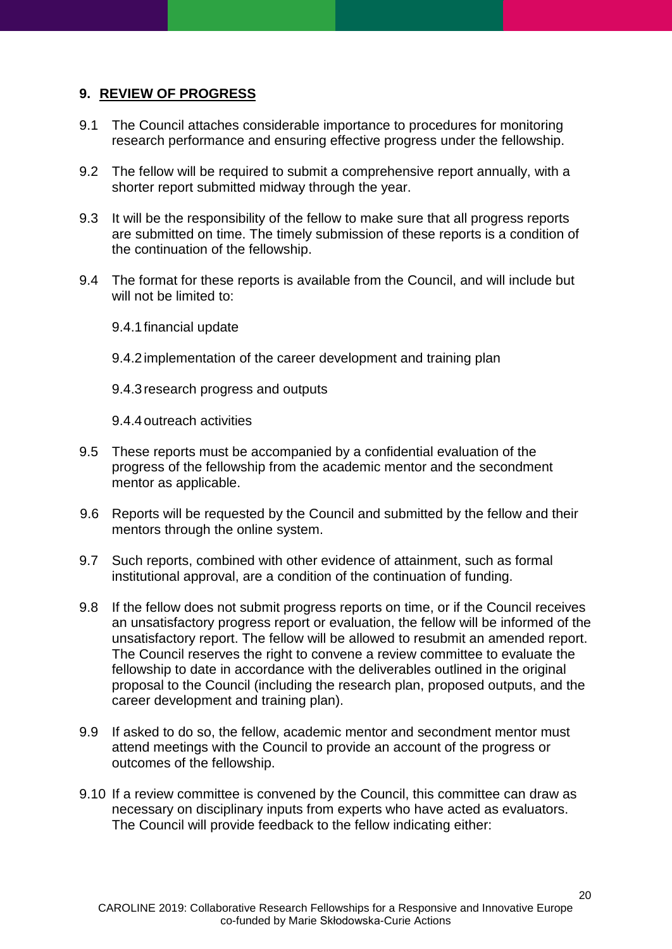## <span id="page-19-0"></span>**9. REVIEW OF PROGRESS**

- 9.1 The Council attaches considerable importance to procedures for monitoring research performance and ensuring effective progress under the fellowship.
- 9.2 The fellow will be required to submit a comprehensive report annually, with a shorter report submitted midway through the year.
- 9.3 It will be the responsibility of the fellow to make sure that all progress reports are submitted on time. The timely submission of these reports is a condition of the continuation of the fellowship.
- 9.4 The format for these reports is available from the Council, and will include but will not be limited to:
	- 9.4.1financial update
	- 9.4.2implementation of the career development and training plan
	- 9.4.3research progress and outputs
	- 9.4.4outreach activities
- 9.5 These reports must be accompanied by a confidential evaluation of the progress of the fellowship from the academic mentor and the secondment mentor as applicable.
- 9.6 Reports will be requested by the Council and submitted by the fellow and their mentors through the online system.
- 9.7 Such reports, combined with other evidence of attainment, such as formal institutional approval, are a condition of the continuation of funding.
- 9.8 If the fellow does not submit progress reports on time, or if the Council receives an unsatisfactory progress report or evaluation, the fellow will be informed of the unsatisfactory report. The fellow will be allowed to resubmit an amended report. The Council reserves the right to convene a review committee to evaluate the fellowship to date in accordance with the deliverables outlined in the original proposal to the Council (including the research plan, proposed outputs, and the career development and training plan).
- 9.9 If asked to do so, the fellow, academic mentor and secondment mentor must attend meetings with the Council to provide an account of the progress or outcomes of the fellowship.
- 9.10 If a review committee is convened by the Council, this committee can draw as necessary on disciplinary inputs from experts who have acted as evaluators. The Council will provide feedback to the fellow indicating either: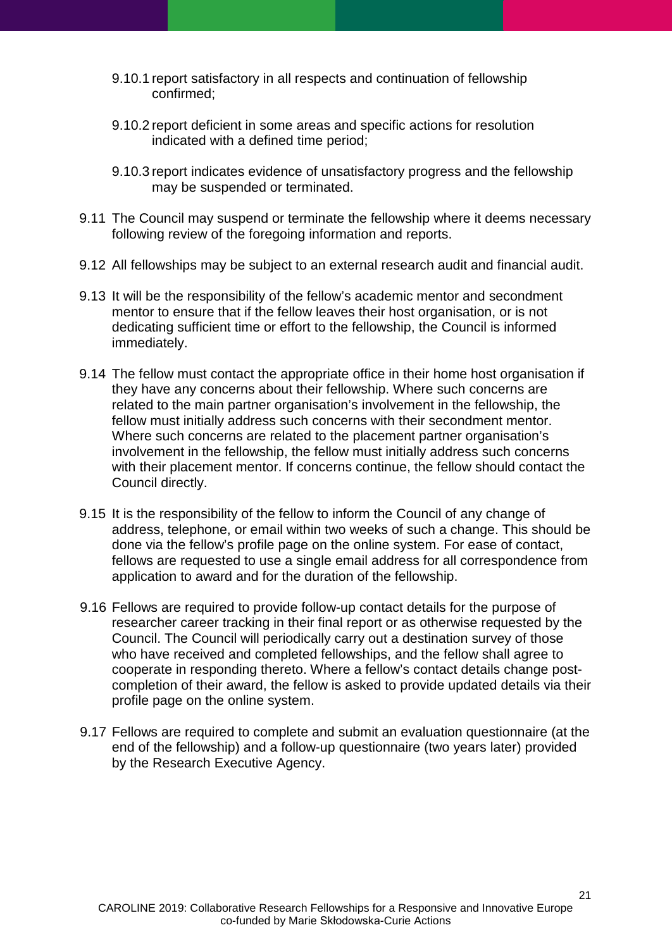- 9.10.1 report satisfactory in all respects and continuation of fellowship confirmed;
- 9.10.2 report deficient in some areas and specific actions for resolution indicated with a defined time period;
- 9.10.3 report indicates evidence of unsatisfactory progress and the fellowship may be suspended or terminated.
- 9.11 The Council may suspend or terminate the fellowship where it deems necessary following review of the foregoing information and reports.
- 9.12 All fellowships may be subject to an external research audit and financial audit.
- 9.13 It will be the responsibility of the fellow's academic mentor and secondment mentor to ensure that if the fellow leaves their host organisation, or is not dedicating sufficient time or effort to the fellowship, the Council is informed immediately.
- 9.14 The fellow must contact the appropriate office in their home host organisation if they have any concerns about their fellowship. Where such concerns are related to the main partner organisation's involvement in the fellowship, the fellow must initially address such concerns with their secondment mentor. Where such concerns are related to the placement partner organisation's involvement in the fellowship, the fellow must initially address such concerns with their placement mentor. If concerns continue, the fellow should contact the Council directly.
- 9.15 It is the responsibility of the fellow to inform the Council of any change of address, telephone, or email within two weeks of such a change. This should be done via the fellow's profile page on the online system. For ease of contact, fellows are requested to use a single email address for all correspondence from application to award and for the duration of the fellowship.
- 9.16 Fellows are required to provide follow-up contact details for the purpose of researcher career tracking in their final report or as otherwise requested by the Council. The Council will periodically carry out a destination survey of those who have received and completed fellowships, and the fellow shall agree to cooperate in responding thereto. Where a fellow's contact details change postcompletion of their award, the fellow is asked to provide updated details via their profile page on the online system.
- 9.17 Fellows are required to complete and submit an evaluation questionnaire (at the end of the fellowship) and a follow-up questionnaire (two years later) provided by the Research Executive Agency.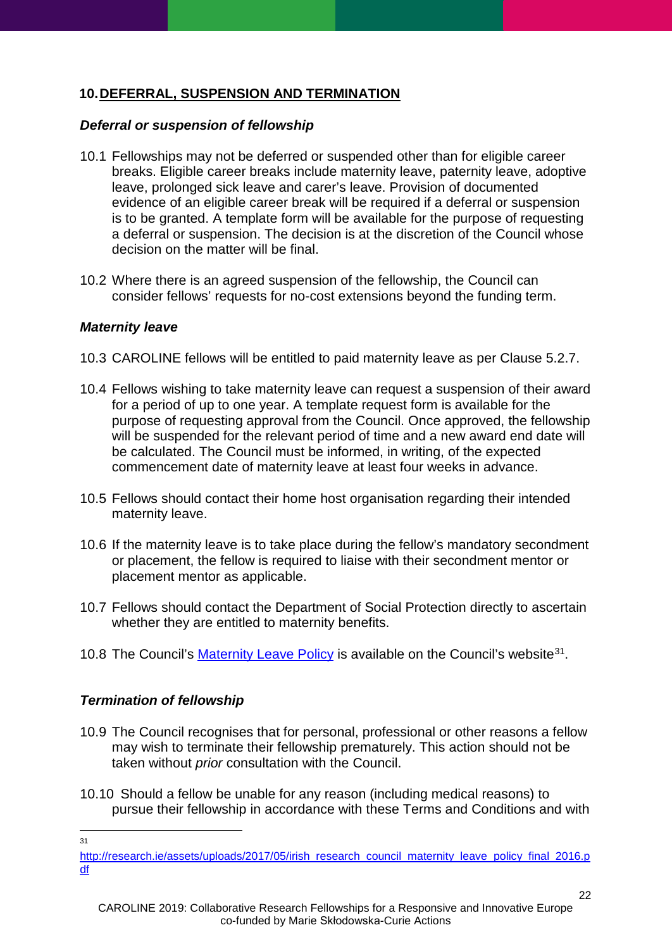# <span id="page-21-0"></span>**10.DEFERRAL, SUSPENSION AND TERMINATION**

#### <span id="page-21-1"></span>*Deferral or suspension of fellowship*

- 10.1 Fellowships may not be deferred or suspended other than for eligible career breaks. Eligible career breaks include maternity leave, paternity leave, adoptive leave, prolonged sick leave and carer's leave. Provision of documented evidence of an eligible career break will be required if a deferral or suspension is to be granted. A template form will be available for the purpose of requesting a deferral or suspension. The decision is at the discretion of the Council whose decision on the matter will be final.
- 10.2 Where there is an agreed suspension of the fellowship, the Council can consider fellows' requests for no-cost extensions beyond the funding term.

### <span id="page-21-2"></span>*Maternity leave*

- 10.3 CAROLINE fellows will be entitled to paid maternity leave as per Clause [5.2.7.](#page-10-2)
- 10.4 Fellows wishing to take maternity leave can request a suspension of their award for a period of up to one year. A template request form is available for the purpose of requesting approval from the Council. Once approved, the fellowship will be suspended for the relevant period of time and a new award end date will be calculated. The Council must be informed, in writing, of the expected commencement date of maternity leave at least four weeks in advance.
- 10.5 Fellows should contact their home host organisation regarding their intended maternity leave.
- 10.6 If the maternity leave is to take place during the fellow's mandatory secondment or placement, the fellow is required to liaise with their secondment mentor or placement mentor as applicable.
- 10.7 Fellows should contact the Department of Social Protection directly to ascertain whether they are entitled to maternity benefits.
- 10.8 The Council's [Maternity Leave Policy](http://research.ie/assets/uploads/2017/05/irish_research_council_maternity_leave_policy_final_2016.pdf) is available on the Council's website<sup>31</sup>.

## <span id="page-21-3"></span>*Termination of fellowship*

- 10.9 The Council recognises that for personal, professional or other reasons a fellow may wish to terminate their fellowship prematurely. This action should not be taken without *prior* consultation with the Council.
- 10.10 Should a fellow be unable for any reason (including medical reasons) to pursue their fellowship in accordance with these Terms and Conditions and with

-31

<span id="page-21-4"></span>[http://research.ie/assets/uploads/2017/05/irish\\_research\\_council\\_maternity\\_leave\\_policy\\_final\\_2016.p](http://research.ie/assets/uploads/2017/05/irish_research_council_maternity_leave_policy_final_2016.pdf) [df](http://research.ie/assets/uploads/2017/05/irish_research_council_maternity_leave_policy_final_2016.pdf)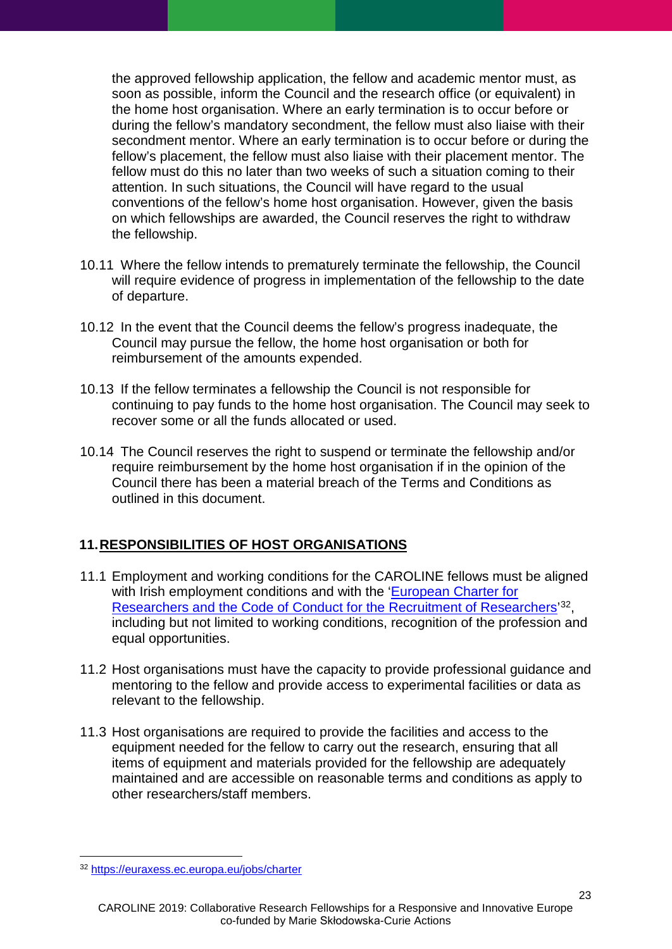the approved fellowship application, the fellow and academic mentor must, as soon as possible, inform the Council and the research office (or equivalent) in the home host organisation. Where an early termination is to occur before or during the fellow's mandatory secondment, the fellow must also liaise with their secondment mentor. Where an early termination is to occur before or during the fellow's placement, the fellow must also liaise with their placement mentor. The fellow must do this no later than two weeks of such a situation coming to their attention. In such situations, the Council will have regard to the usual conventions of the fellow's home host organisation. However, given the basis on which fellowships are awarded, the Council reserves the right to withdraw the fellowship.

- 10.11 Where the fellow intends to prematurely terminate the fellowship, the Council will require evidence of progress in implementation of the fellowship to the date of departure.
- 10.12 In the event that the Council deems the fellow's progress inadequate, the Council may pursue the fellow, the home host organisation or both for reimbursement of the amounts expended.
- 10.13 If the fellow terminates a fellowship the Council is not responsible for continuing to pay funds to the home host organisation. The Council may seek to recover some or all the funds allocated or used.
- 10.14 The Council reserves the right to suspend or terminate the fellowship and/or require reimbursement by the home host organisation if in the opinion of the Council there has been a material breach of the Terms and Conditions as outlined in this document.

## <span id="page-22-0"></span>**11.RESPONSIBILITIES OF HOST ORGANISATIONS**

- 11.1 Employment and working conditions for the CAROLINE fellows must be aligned with Irish employment conditions and with the 'European Charter for [Researchers and the Code of Conduct for the Recruitment of Researchers'](https://euraxess.ec.europa.eu/jobs/charter)<sup>[32](#page-22-1)</sup>, including but not limited to working conditions, recognition of the profession and equal opportunities.
- 11.2 Host organisations must have the capacity to provide professional guidance and mentoring to the fellow and provide access to experimental facilities or data as relevant to the fellowship.
- 11.3 Host organisations are required to provide the facilities and access to the equipment needed for the fellow to carry out the research, ensuring that all items of equipment and materials provided for the fellowship are adequately maintained and are accessible on reasonable terms and conditions as apply to other researchers/staff members.

<u>.</u>

<span id="page-22-1"></span><sup>&</sup>lt;sup>32</sup> <https://euraxess.ec.europa.eu/jobs/charter>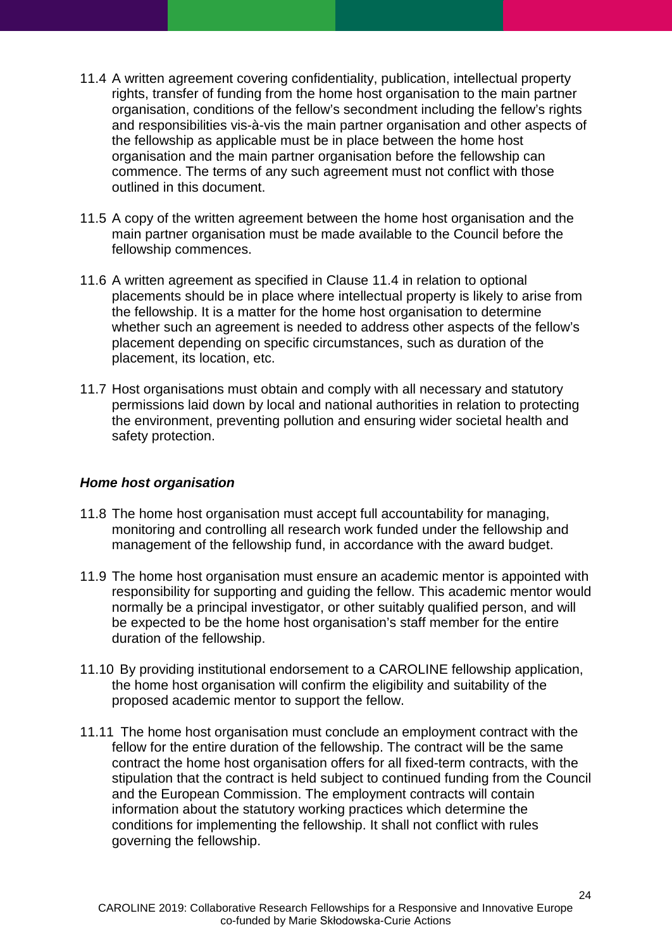- <span id="page-23-1"></span>11.4 A written agreement covering confidentiality, publication, intellectual property rights, transfer of funding from the home host organisation to the main partner organisation, conditions of the fellow's secondment including the fellow's rights and responsibilities vis-à-vis the main partner organisation and other aspects of the fellowship as applicable must be in place between the home host organisation and the main partner organisation before the fellowship can commence. The terms of any such agreement must not conflict with those outlined in this document.
- 11.5 A copy of the written agreement between the home host organisation and the main partner organisation must be made available to the Council before the fellowship commences.
- 11.6 A written agreement as specified in Clause [11.4](#page-23-1) in relation to optional placements should be in place where intellectual property is likely to arise from the fellowship. It is a matter for the home host organisation to determine whether such an agreement is needed to address other aspects of the fellow's placement depending on specific circumstances, such as duration of the placement, its location, etc.
- 11.7 Host organisations must obtain and comply with all necessary and statutory permissions laid down by local and national authorities in relation to protecting the environment, preventing pollution and ensuring wider societal health and safety protection.

#### <span id="page-23-0"></span>*Home host organisation*

- 11.8 The home host organisation must accept full accountability for managing, monitoring and controlling all research work funded under the fellowship and management of the fellowship fund, in accordance with the award budget.
- 11.9 The home host organisation must ensure an academic mentor is appointed with responsibility for supporting and guiding the fellow. This academic mentor would normally be a principal investigator, or other suitably qualified person, and will be expected to be the home host organisation's staff member for the entire duration of the fellowship.
- 11.10 By providing institutional endorsement to a CAROLINE fellowship application, the home host organisation will confirm the eligibility and suitability of the proposed academic mentor to support the fellow.
- 11.11 The home host organisation must conclude an employment contract with the fellow for the entire duration of the fellowship. The contract will be the same contract the home host organisation offers for all fixed-term contracts, with the stipulation that the contract is held subject to continued funding from the Council and the European Commission. The employment contracts will contain information about the statutory working practices which determine the conditions for implementing the fellowship. It shall not conflict with rules governing the fellowship.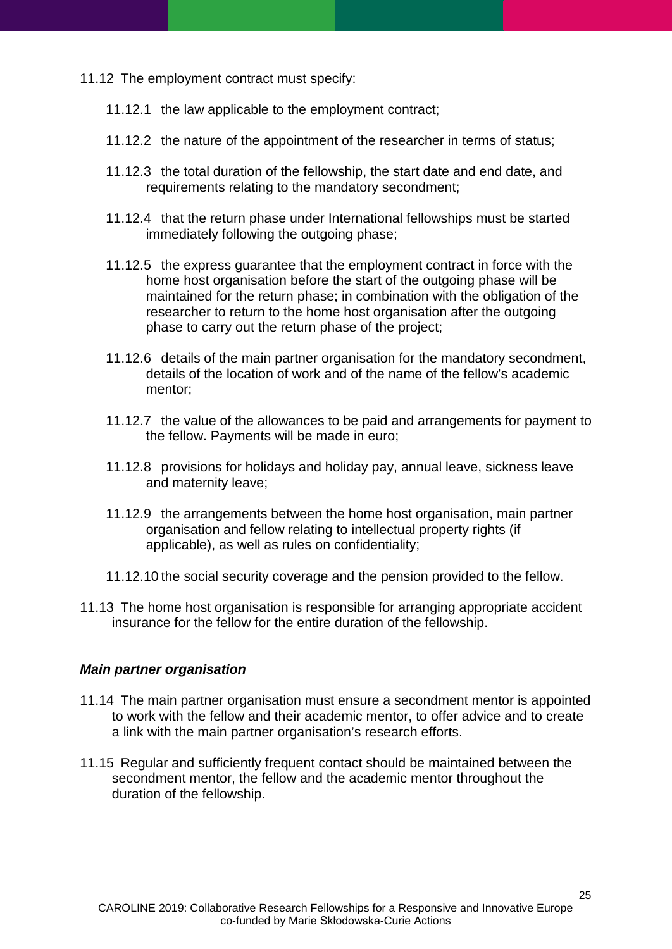- 11.12 The employment contract must specify:
	- 11.12.1 the law applicable to the employment contract;
	- 11.12.2 the nature of the appointment of the researcher in terms of status;
	- 11.12.3 the total duration of the fellowship, the start date and end date, and requirements relating to the mandatory secondment;
	- 11.12.4 that the return phase under International fellowships must be started immediately following the outgoing phase;
	- 11.12.5 the express guarantee that the employment contract in force with the home host organisation before the start of the outgoing phase will be maintained for the return phase; in combination with the obligation of the researcher to return to the home host organisation after the outgoing phase to carry out the return phase of the project;
	- 11.12.6 details of the main partner organisation for the mandatory secondment, details of the location of work and of the name of the fellow's academic mentor;
	- 11.12.7 the value of the allowances to be paid and arrangements for payment to the fellow. Payments will be made in euro;
	- 11.12.8 provisions for holidays and holiday pay, annual leave, sickness leave and maternity leave;
	- 11.12.9 the arrangements between the home host organisation, main partner organisation and fellow relating to intellectual property rights (if applicable), as well as rules on confidentiality;
	- 11.12.10 the social security coverage and the pension provided to the fellow.
- 11.13 The home host organisation is responsible for arranging appropriate accident insurance for the fellow for the entire duration of the fellowship.

#### <span id="page-24-0"></span>*Main partner organisation*

- 11.14 The main partner organisation must ensure a secondment mentor is appointed to work with the fellow and their academic mentor, to offer advice and to create a link with the main partner organisation's research efforts.
- 11.15 Regular and sufficiently frequent contact should be maintained between the secondment mentor, the fellow and the academic mentor throughout the duration of the fellowship.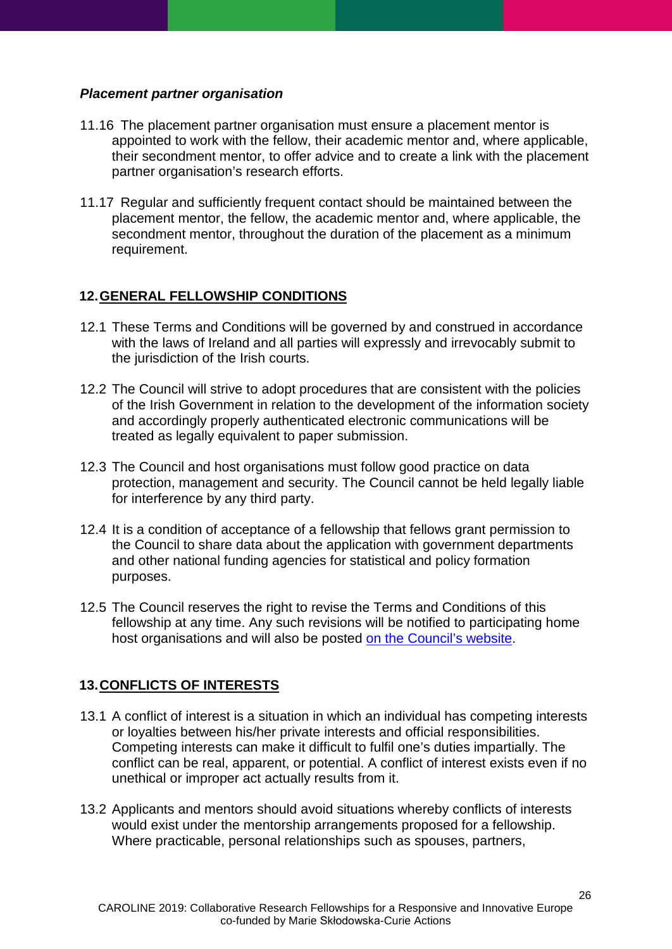#### <span id="page-25-0"></span>*Placement partner organisation*

- 11.16 The placement partner organisation must ensure a placement mentor is appointed to work with the fellow, their academic mentor and, where applicable, their secondment mentor, to offer advice and to create a link with the placement partner organisation's research efforts.
- 11.17 Regular and sufficiently frequent contact should be maintained between the placement mentor, the fellow, the academic mentor and, where applicable, the secondment mentor, throughout the duration of the placement as a minimum requirement.

## <span id="page-25-1"></span>**12.GENERAL FELLOWSHIP CONDITIONS**

- 12.1 These Terms and Conditions will be governed by and construed in accordance with the laws of Ireland and all parties will expressly and irrevocably submit to the jurisdiction of the Irish courts.
- 12.2 The Council will strive to adopt procedures that are consistent with the policies of the Irish Government in relation to the development of the information society and accordingly properly authenticated electronic communications will be treated as legally equivalent to paper submission.
- 12.3 The Council and host organisations must follow good practice on data protection, management and security. The Council cannot be held legally liable for interference by any third party.
- 12.4 It is a condition of acceptance of a fellowship that fellows grant permission to the Council to share data about the application with government departments and other national funding agencies for statistical and policy formation purposes.
- 12.5 The Council reserves the right to revise the Terms and Conditions of this fellowship at any time. Any such revisions will be notified to participating home host organisations and will also be posted [on the Council's](http://www.research.ie/funding/caroline) website.

## <span id="page-25-2"></span>**13.CONFLICTS OF INTERESTS**

- 13.1 A conflict of interest is a situation in which an individual has competing interests or loyalties between his/her private interests and official responsibilities. Competing interests can make it difficult to fulfil one's duties impartially. The conflict can be real, apparent, or potential. A conflict of interest exists even if no unethical or improper act actually results from it.
- 13.2 Applicants and mentors should avoid situations whereby conflicts of interests would exist under the mentorship arrangements proposed for a fellowship. Where practicable, personal relationships such as spouses, partners,